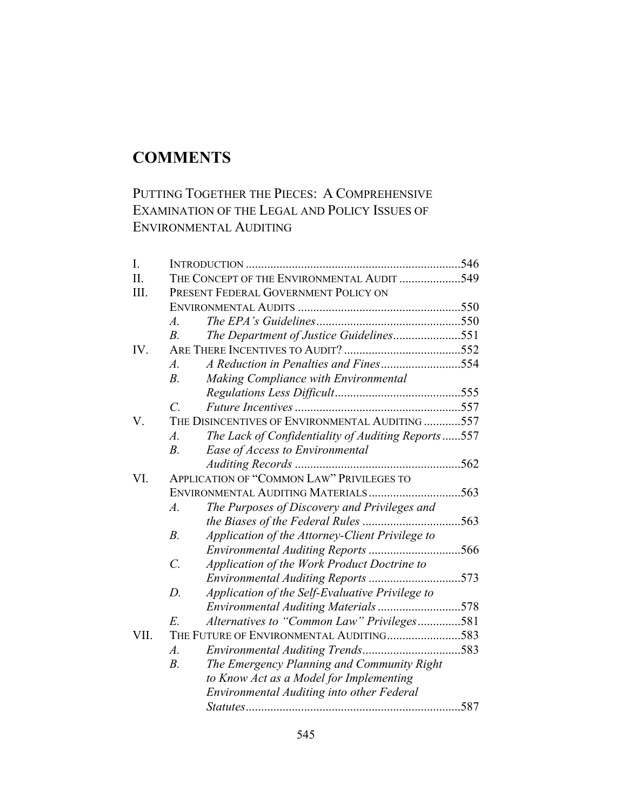# **COMMENTS**

## PUTTING TOGETHER THE PIECES: A COMPREHENSIVE EXAMINATION OF THE LEGAL AND POLICY ISSUES OF ENVIRONMENTAL AUDITING

| I.   |                                                                        |  |
|------|------------------------------------------------------------------------|--|
| II.  | THE CONCEPT OF THE ENVIRONMENTAL AUDIT 549                             |  |
| III. | PRESENT FEDERAL GOVERNMENT POLICY ON                                   |  |
|      |                                                                        |  |
|      | $\mathcal{A}.$                                                         |  |
|      | The Department of Justice Guidelines551<br>$B_{\cdot}$                 |  |
| IV.  |                                                                        |  |
|      | A Reduction in Penalties and Fines554<br>$\overline{A}$ .              |  |
|      | $B$ .<br>Making Compliance with Environmental                          |  |
|      |                                                                        |  |
|      | $\overline{C}$                                                         |  |
| V.   | THE DISINCENTIVES OF ENVIRONMENTAL AUDITING 557                        |  |
|      | The Lack of Confidentiality of Auditing Reports557<br>$\overline{A}$ . |  |
|      | $B$ .<br>Ease of Access to Environmental                               |  |
|      |                                                                        |  |
| VI.  | <b>APPLICATION OF "COMMON LAW" PRIVILEGES TO</b>                       |  |
|      | ENVIRONMENTAL AUDITING MATERIALS563                                    |  |
|      | The Purposes of Discovery and Privileges and<br>$\mathcal{A}.$         |  |
|      |                                                                        |  |
|      | $B$ .<br>Application of the Attorney-Client Privilege to               |  |
|      | Environmental Auditing Reports 566                                     |  |
|      | $\mathcal{C}$ .<br>Application of the Work Product Doctrine to         |  |
|      | Environmental Auditing Reports 573                                     |  |
|      | Application of the Self-Evaluative Privilege to<br>$D$ .               |  |
|      |                                                                        |  |
|      | Alternatives to "Common Law" Privileges581<br>E.                       |  |
| VII. | THE FUTURE OF ENVIRONMENTAL AUDITING583                                |  |
|      | $\overline{A}$ .                                                       |  |
|      | $B$ .<br>The Emergency Planning and Community Right                    |  |
|      | to Know Act as a Model for Implementing                                |  |
|      | Environmental Auditing into other Federal                              |  |
|      |                                                                        |  |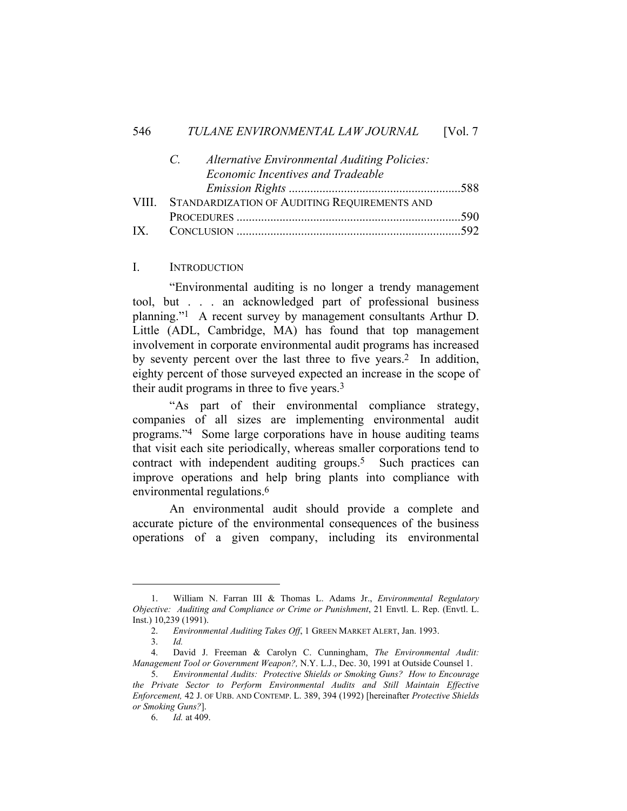|  | Alternative Environmental Auditing Policies:<br>$C =$ |  |
|--|-------------------------------------------------------|--|
|  | <b>Economic Incentives and Tradeable</b>              |  |
|  |                                                       |  |
|  | VIII. STANDARDIZATION OF AUDITING REQUIREMENTS AND    |  |
|  |                                                       |  |
|  |                                                       |  |

#### I. INTRODUCTION

 "Environmental auditing is no longer a trendy management tool, but . . . an acknowledged part of professional business planning."1 A recent survey by management consultants Arthur D. Little (ADL, Cambridge, MA) has found that top management involvement in corporate environmental audit programs has increased by seventy percent over the last three to five years.2 In addition, eighty percent of those surveyed expected an increase in the scope of their audit programs in three to five years.3

 "As part of their environmental compliance strategy, companies of all sizes are implementing environmental audit programs."4 Some large corporations have in house auditing teams that visit each site periodically, whereas smaller corporations tend to contract with independent auditing groups.5 Such practices can improve operations and help bring plants into compliance with environmental regulations.6

 An environmental audit should provide a complete and accurate picture of the environmental consequences of the business operations of a given company, including its environmental

 <sup>1.</sup> William N. Farran III & Thomas L. Adams Jr., *Environmental Regulatory Objective: Auditing and Compliance or Crime or Punishment*, 21 Envtl. L. Rep. (Envtl. L. Inst.) 10,239 (1991).

 <sup>2.</sup> *Environmental Auditing Takes Off*, 1 GREEN MARKET ALERT, Jan. 1993.

 <sup>3.</sup> *Id.* 

 <sup>4.</sup> David J. Freeman & Carolyn C. Cunningham, *The Environmental Audit: Management Tool or Government Weapon?,* N.Y. L.J., Dec. 30, 1991 at Outside Counsel 1.

 <sup>5.</sup> *Environmental Audits: Protective Shields or Smoking Guns? How to Encourage the Private Sector to Perform Environmental Audits and Still Maintain Effective Enforcement,* 42 J. OF URB. AND CONTEMP. L. 389, 394 (1992) [hereinafter *Protective Shields or Smoking Guns?*].

 <sup>6.</sup> *Id.* at 409.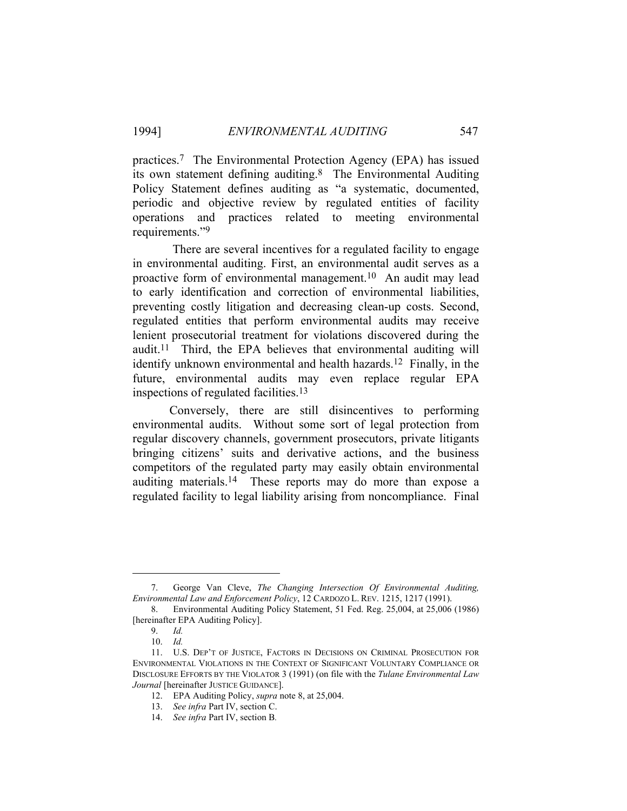practices.7 The Environmental Protection Agency (EPA) has issued its own statement defining auditing.8 The Environmental Auditing Policy Statement defines auditing as "a systematic, documented, periodic and objective review by regulated entities of facility operations and practices related to meeting environmental requirements."9

 There are several incentives for a regulated facility to engage in environmental auditing. First, an environmental audit serves as a proactive form of environmental management.10 An audit may lead to early identification and correction of environmental liabilities, preventing costly litigation and decreasing clean-up costs. Second, regulated entities that perform environmental audits may receive lenient prosecutorial treatment for violations discovered during the audit.11 Third, the EPA believes that environmental auditing will identify unknown environmental and health hazards.<sup>12</sup> Finally, in the future, environmental audits may even replace regular EPA inspections of regulated facilities.13

 Conversely, there are still disincentives to performing environmental audits. Without some sort of legal protection from regular discovery channels, government prosecutors, private litigants bringing citizens' suits and derivative actions, and the business competitors of the regulated party may easily obtain environmental auditing materials.14 These reports may do more than expose a regulated facility to legal liability arising from noncompliance. Final

 <sup>7.</sup> George Van Cleve, *The Changing Intersection Of Environmental Auditing, Environmental Law and Enforcement Policy*, 12 CARDOZO L. REV. 1215, 1217 (1991).

 <sup>8.</sup> Environmental Auditing Policy Statement, 51 Fed. Reg. 25,004, at 25,006 (1986) [hereinafter EPA Auditing Policy].

 <sup>9.</sup> *Id.*

 <sup>10.</sup> *Id.*

 <sup>11.</sup> U.S. DEP'T OF JUSTICE, FACTORS IN DECISIONS ON CRIMINAL PROSECUTION FOR ENVIRONMENTAL VIOLATIONS IN THE CONTEXT OF SIGNIFICANT VOLUNTARY COMPLIANCE OR DISCLOSURE EFFORTS BY THE VIOLATOR 3 (1991) (on file with the *Tulane Environmental Law Journal* [hereinafter JUSTICE GUIDANCE].

 <sup>12.</sup> EPA Auditing Policy, *supra* note 8, at 25,004.

 <sup>13.</sup> *See infra* Part IV, section C.

 <sup>14.</sup> *See infra* Part IV, section B*.*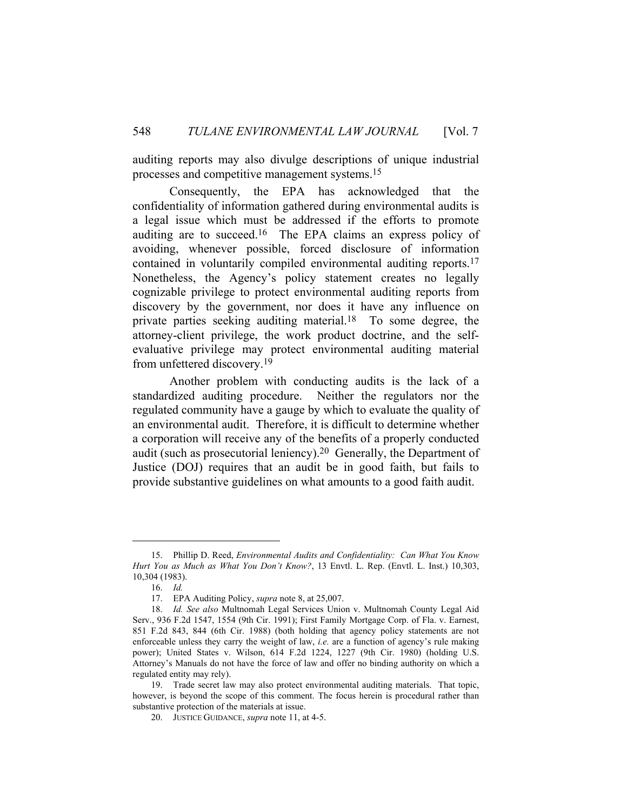auditing reports may also divulge descriptions of unique industrial processes and competitive management systems.15

 Consequently, the EPA has acknowledged that the confidentiality of information gathered during environmental audits is a legal issue which must be addressed if the efforts to promote auditing are to succeed.16 The EPA claims an express policy of avoiding, whenever possible, forced disclosure of information contained in voluntarily compiled environmental auditing reports.17 Nonetheless, the Agency's policy statement creates no legally cognizable privilege to protect environmental auditing reports from discovery by the government, nor does it have any influence on private parties seeking auditing material.18 To some degree, the attorney-client privilege, the work product doctrine, and the selfevaluative privilege may protect environmental auditing material from unfettered discovery.19

 Another problem with conducting audits is the lack of a standardized auditing procedure. Neither the regulators nor the regulated community have a gauge by which to evaluate the quality of an environmental audit. Therefore, it is difficult to determine whether a corporation will receive any of the benefits of a properly conducted audit (such as prosecutorial leniency).20 Generally, the Department of Justice (DOJ) requires that an audit be in good faith, but fails to provide substantive guidelines on what amounts to a good faith audit.

 <sup>15.</sup> Phillip D. Reed, *Environmental Audits and Confidentiality: Can What You Know Hurt You as Much as What You Don't Know?*, 13 Envtl. L. Rep. (Envtl. L. Inst.) 10,303, 10,304 (1983).

 <sup>16.</sup> *Id.*

 <sup>17.</sup> EPA Auditing Policy, *supra* note 8, at 25,007.

 <sup>18.</sup> *Id. See also* Multnomah Legal Services Union v. Multnomah County Legal Aid Serv., 936 F.2d 1547, 1554 (9th Cir. 1991); First Family Mortgage Corp. of Fla. v. Earnest, 851 F.2d 843, 844 (6th Cir. 1988) (both holding that agency policy statements are not enforceable unless they carry the weight of law, *i.e.* are a function of agency's rule making power); United States v. Wilson, 614 F.2d 1224, 1227 (9th Cir. 1980) (holding U.S. Attorney's Manuals do not have the force of law and offer no binding authority on which a regulated entity may rely).

 <sup>19.</sup> Trade secret law may also protect environmental auditing materials. That topic, however, is beyond the scope of this comment. The focus herein is procedural rather than substantive protection of the materials at issue.

 <sup>20.</sup> JUSTICE GUIDANCE, *supra* note 11, at 4-5.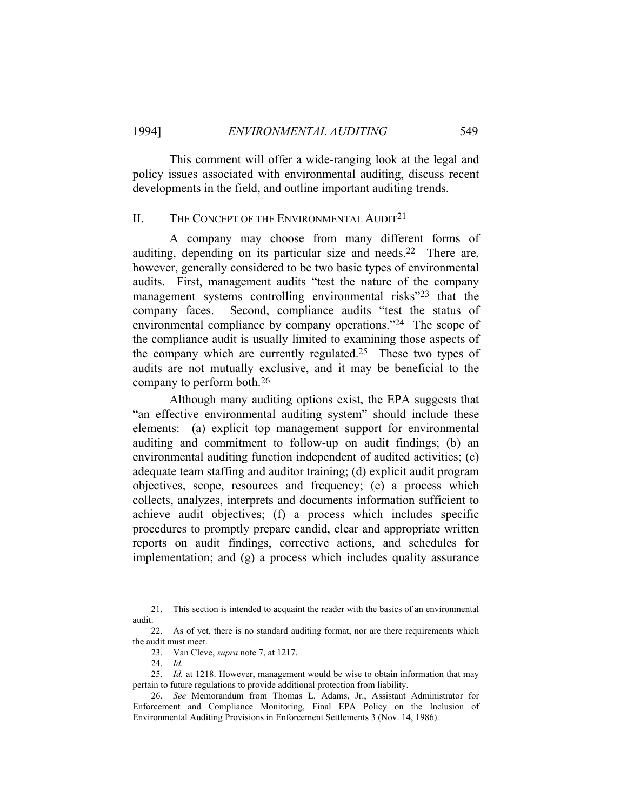This comment will offer a wide-ranging look at the legal and policy issues associated with environmental auditing, discuss recent developments in the field, and outline important auditing trends.

#### II. THE CONCEPT OF THE ENVIRONMENTAL AUDIT<sup>21</sup>

 A company may choose from many different forms of auditing, depending on its particular size and needs.22 There are, however, generally considered to be two basic types of environmental audits. First, management audits "test the nature of the company management systems controlling environmental risks"23 that the company faces. Second, compliance audits "test the status of environmental compliance by company operations."24 The scope of the compliance audit is usually limited to examining those aspects of the company which are currently regulated.<sup>25</sup> These two types of audits are not mutually exclusive, and it may be beneficial to the company to perform both.26

 Although many auditing options exist, the EPA suggests that "an effective environmental auditing system" should include these elements: (a) explicit top management support for environmental auditing and commitment to follow-up on audit findings; (b) an environmental auditing function independent of audited activities; (c) adequate team staffing and auditor training; (d) explicit audit program objectives, scope, resources and frequency; (e) a process which collects, analyzes, interprets and documents information sufficient to achieve audit objectives; (f) a process which includes specific procedures to promptly prepare candid, clear and appropriate written reports on audit findings, corrective actions, and schedules for implementation; and (g) a process which includes quality assurance

 <sup>21.</sup> This section is intended to acquaint the reader with the basics of an environmental audit.

 <sup>22.</sup> As of yet, there is no standard auditing format, nor are there requirements which the audit must meet.

 <sup>23.</sup> Van Cleve, *supra* note 7, at 1217.

 <sup>24.</sup> *Id.*

 <sup>25.</sup> *Id.* at 1218. However, management would be wise to obtain information that may pertain to future regulations to provide additional protection from liability.

 <sup>26.</sup> *See* Memorandum from Thomas L. Adams, Jr., Assistant Administrator for Enforcement and Compliance Monitoring, Final EPA Policy on the Inclusion of Environmental Auditing Provisions in Enforcement Settlements 3 (Nov. 14, 1986).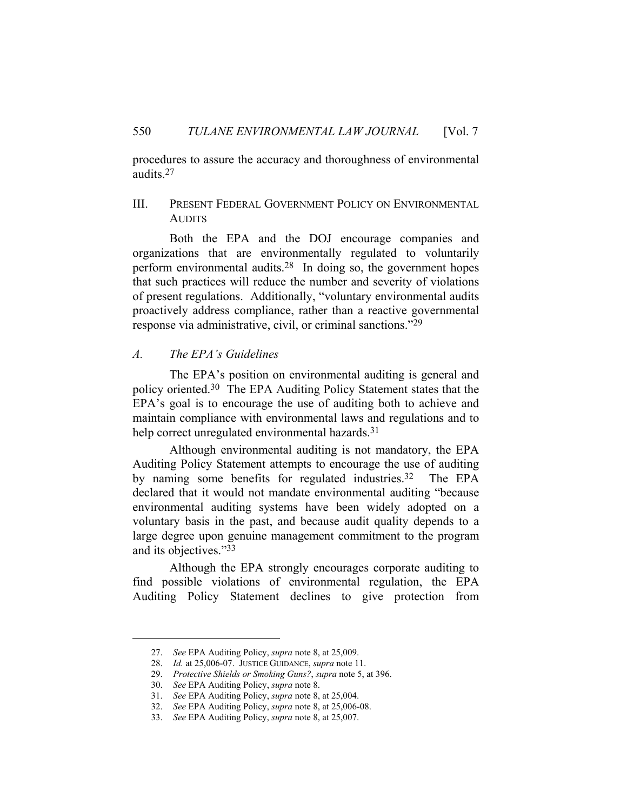procedures to assure the accuracy and thoroughness of environmental audits.27

#### III. PRESENT FEDERAL GOVERNMENT POLICY ON ENVIRONMENTAL **AUDITS**

 Both the EPA and the DOJ encourage companies and organizations that are environmentally regulated to voluntarily perform environmental audits.28 In doing so, the government hopes that such practices will reduce the number and severity of violations of present regulations. Additionally, "voluntary environmental audits proactively address compliance, rather than a reactive governmental response via administrative, civil, or criminal sanctions."29

#### *A. The EPA's Guidelines*

 The EPA's position on environmental auditing is general and policy oriented.30 The EPA Auditing Policy Statement states that the EPA's goal is to encourage the use of auditing both to achieve and maintain compliance with environmental laws and regulations and to help correct unregulated environmental hazards.<sup>31</sup>

 Although environmental auditing is not mandatory, the EPA Auditing Policy Statement attempts to encourage the use of auditing by naming some benefits for regulated industries.32 The EPA declared that it would not mandate environmental auditing "because environmental auditing systems have been widely adopted on a voluntary basis in the past, and because audit quality depends to a large degree upon genuine management commitment to the program and its objectives."33

 Although the EPA strongly encourages corporate auditing to find possible violations of environmental regulation, the EPA Auditing Policy Statement declines to give protection from

 <sup>27.</sup> *See* EPA Auditing Policy, *supra* note 8, at 25,009.

 <sup>28.</sup> *Id.* at 25,006-07. JUSTICE GUIDANCE, *supra* note 11.

 <sup>29.</sup> *Protective Shields or Smoking Guns?*, *supra* note 5, at 396.

 <sup>30.</sup> *See* EPA Auditing Policy, *supra* note 8.

 <sup>31.</sup> *See* EPA Auditing Policy, *supra* note 8, at 25,004.

 <sup>32.</sup> *See* EPA Auditing Policy, *supra* note 8, at 25,006-08.

 <sup>33.</sup> *See* EPA Auditing Policy, *supra* note 8, at 25,007.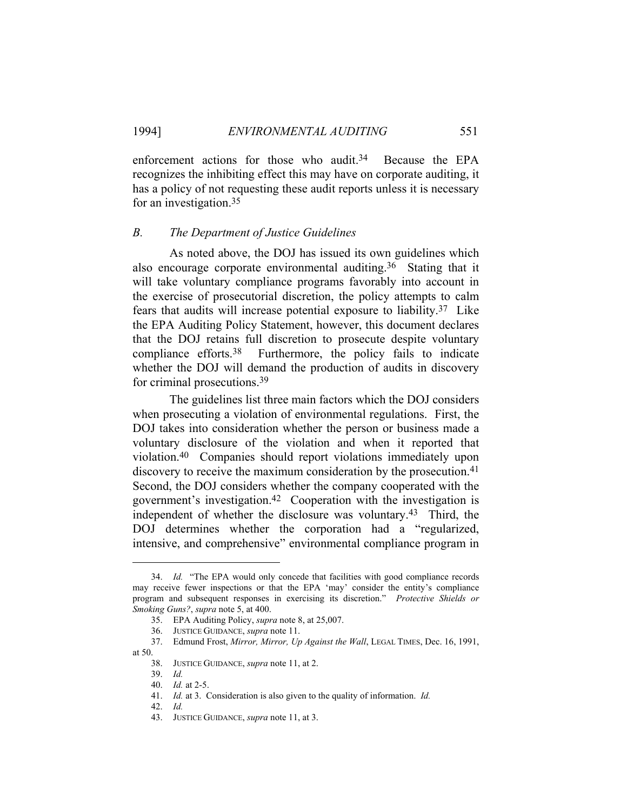enforcement actions for those who audit.<sup>34</sup> Because the EPA recognizes the inhibiting effect this may have on corporate auditing, it has a policy of not requesting these audit reports unless it is necessary for an investigation.35

#### *B. The Department of Justice Guidelines*

 As noted above, the DOJ has issued its own guidelines which also encourage corporate environmental auditing.36 Stating that it will take voluntary compliance programs favorably into account in the exercise of prosecutorial discretion, the policy attempts to calm fears that audits will increase potential exposure to liability.37 Like the EPA Auditing Policy Statement, however, this document declares that the DOJ retains full discretion to prosecute despite voluntary compliance efforts.38 Furthermore, the policy fails to indicate whether the DOJ will demand the production of audits in discovery for criminal prosecutions.39

 The guidelines list three main factors which the DOJ considers when prosecuting a violation of environmental regulations. First, the DOJ takes into consideration whether the person or business made a voluntary disclosure of the violation and when it reported that violation.40 Companies should report violations immediately upon discovery to receive the maximum consideration by the prosecution.<sup>41</sup> Second, the DOJ considers whether the company cooperated with the government's investigation.42 Cooperation with the investigation is independent of whether the disclosure was voluntary.43 Third, the DOJ determines whether the corporation had a "regularized, intensive, and comprehensive" environmental compliance program in

 <sup>34.</sup> *Id.* "The EPA would only concede that facilities with good compliance records may receive fewer inspections or that the EPA 'may' consider the entity's compliance program and subsequent responses in exercising its discretion." *Protective Shields or Smoking Guns?*, *supra* note 5, at 400.

 <sup>35.</sup> EPA Auditing Policy, *supra* note 8, at 25,007.

 <sup>36.</sup> JUSTICE GUIDANCE, *supra* note 11.

 <sup>37.</sup> Edmund Frost, *Mirror, Mirror, Up Against the Wall*, LEGAL TIMES, Dec. 16, 1991, at 50.

 <sup>38.</sup> JUSTICE GUIDANCE, *supra* note 11, at 2.

 <sup>39.</sup> *Id.*

 <sup>40.</sup> *Id.* at 2-5.

 <sup>41.</sup> *Id.* at 3. Consideration is also given to the quality of information. *Id.*

 <sup>42.</sup> *Id.*

 <sup>43.</sup> JUSTICE GUIDANCE, *supra* note 11, at 3.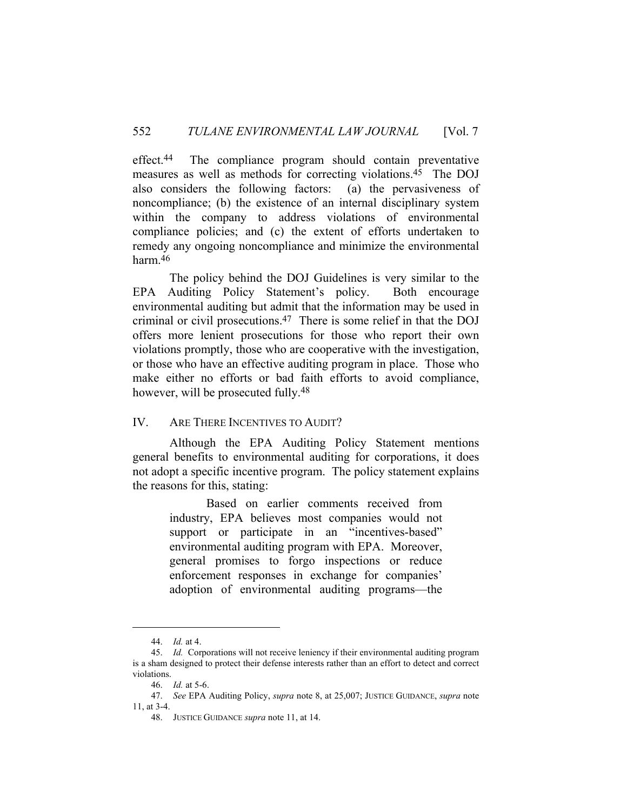effect.44 The compliance program should contain preventative measures as well as methods for correcting violations.45 The DOJ also considers the following factors: (a) the pervasiveness of noncompliance; (b) the existence of an internal disciplinary system within the company to address violations of environmental compliance policies; and (c) the extent of efforts undertaken to remedy any ongoing noncompliance and minimize the environmental harm.46

 The policy behind the DOJ Guidelines is very similar to the EPA Auditing Policy Statement's policy. Both encourage environmental auditing but admit that the information may be used in criminal or civil prosecutions.47 There is some relief in that the DOJ offers more lenient prosecutions for those who report their own violations promptly, those who are cooperative with the investigation, or those who have an effective auditing program in place. Those who make either no efforts or bad faith efforts to avoid compliance, however, will be prosecuted fully.<sup>48</sup>

#### IV. ARE THERE INCENTIVES TO AUDIT?

 Although the EPA Auditing Policy Statement mentions general benefits to environmental auditing for corporations, it does not adopt a specific incentive program. The policy statement explains the reasons for this, stating:

> Based on earlier comments received from industry, EPA believes most companies would not support or participate in an "incentives-based" environmental auditing program with EPA. Moreover, general promises to forgo inspections or reduce enforcement responses in exchange for companies' adoption of environmental auditing programs—the

 <sup>44.</sup> *Id.* at 4.

 <sup>45.</sup> *Id.* Corporations will not receive leniency if their environmental auditing program is a sham designed to protect their defense interests rather than an effort to detect and correct violations.

 <sup>46.</sup> *Id.* at 5-6.

 <sup>47.</sup> *See* EPA Auditing Policy, *supra* note 8, at 25,007; JUSTICE GUIDANCE, *supra* note 11, at 3-4.

 <sup>48.</sup> JUSTICE GUIDANCE *supra* note 11, at 14.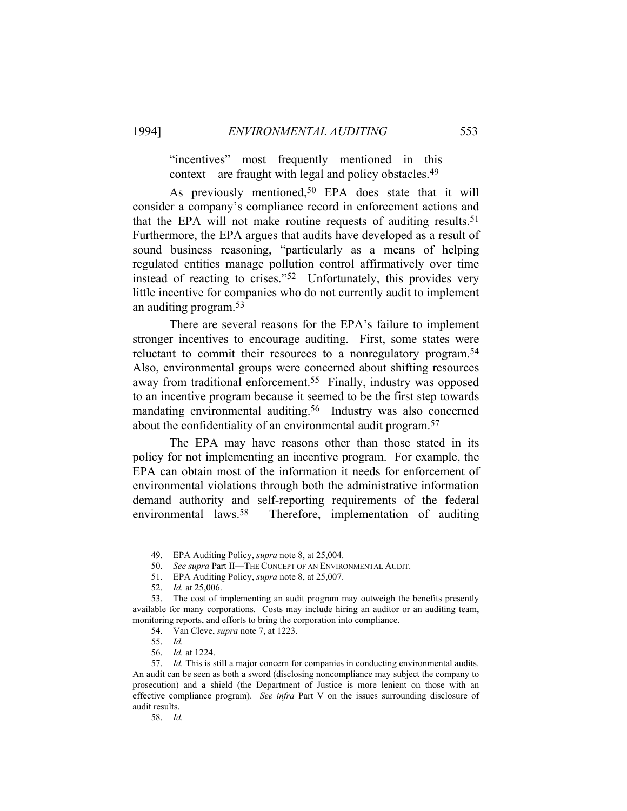"incentives" most frequently mentioned in this context—are fraught with legal and policy obstacles.49

As previously mentioned,<sup>50</sup> EPA does state that it will consider a company's compliance record in enforcement actions and that the EPA will not make routine requests of auditing results. 51 Furthermore, the EPA argues that audits have developed as a result of sound business reasoning, "particularly as a means of helping regulated entities manage pollution control affirmatively over time instead of reacting to crises."52 Unfortunately, this provides very little incentive for companies who do not currently audit to implement an auditing program.53

 There are several reasons for the EPA's failure to implement stronger incentives to encourage auditing. First, some states were reluctant to commit their resources to a nonregulatory program.54 Also, environmental groups were concerned about shifting resources away from traditional enforcement.55 Finally, industry was opposed to an incentive program because it seemed to be the first step towards mandating environmental auditing.56 Industry was also concerned about the confidentiality of an environmental audit program.<sup>57</sup>

 The EPA may have reasons other than those stated in its policy for not implementing an incentive program. For example, the EPA can obtain most of the information it needs for enforcement of environmental violations through both the administrative information demand authority and self-reporting requirements of the federal environmental laws.58 Therefore, implementation of auditing

 <sup>49.</sup> EPA Auditing Policy, *supra* note 8, at 25,004.

 <sup>50.</sup> *See supra* Part II—THE CONCEPT OF AN ENVIRONMENTAL AUDIT.

 <sup>51.</sup> EPA Auditing Policy, *supra* note 8, at 25,007.

 <sup>52.</sup> *Id.* at 25,006.

 <sup>53.</sup> The cost of implementing an audit program may outweigh the benefits presently available for many corporations. Costs may include hiring an auditor or an auditing team, monitoring reports, and efforts to bring the corporation into compliance.

 <sup>54.</sup> Van Cleve, *supra* note 7, at 1223.

 <sup>55.</sup> *Id.*

 <sup>56.</sup> *Id.* at 1224.

 <sup>57.</sup> *Id.* This is still a major concern for companies in conducting environmental audits. An audit can be seen as both a sword (disclosing noncompliance may subject the company to prosecution) and a shield (the Department of Justice is more lenient on those with an effective compliance program). *See infra* Part V on the issues surrounding disclosure of audit results.

 <sup>58.</sup> *Id.*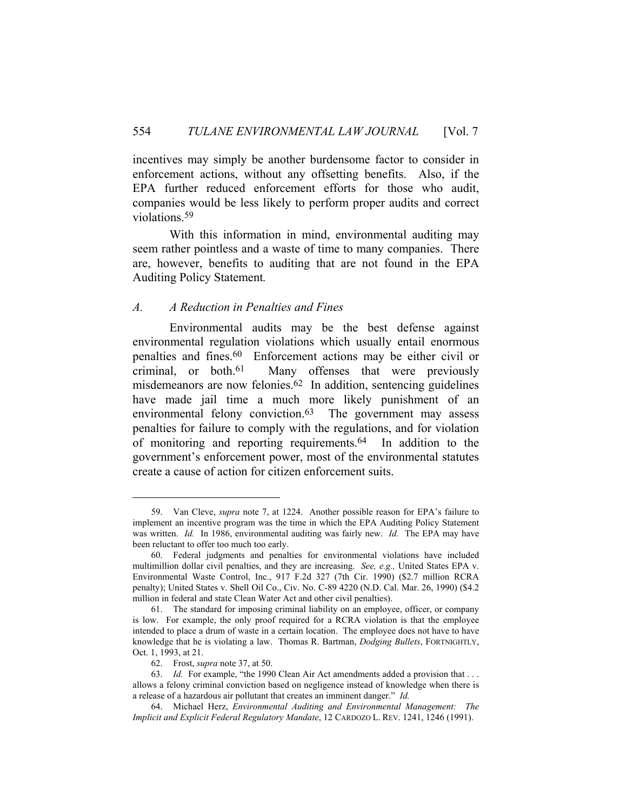incentives may simply be another burdensome factor to consider in enforcement actions, without any offsetting benefits. Also, if the EPA further reduced enforcement efforts for those who audit, companies would be less likely to perform proper audits and correct violations.59

 With this information in mind, environmental auditing may seem rather pointless and a waste of time to many companies. There are, however, benefits to auditing that are not found in the EPA Auditing Policy Statement*.*

#### *A. A Reduction in Penalties and Fines*

 Environmental audits may be the best defense against environmental regulation violations which usually entail enormous penalties and fines.60 Enforcement actions may be either civil or criminal, or both.61 Many offenses that were previously misdemeanors are now felonies.62 In addition, sentencing guidelines have made jail time a much more likely punishment of an environmental felony conviction.<sup>63</sup> The government may assess penalties for failure to comply with the regulations, and for violation of monitoring and reporting requirements.64 In addition to the government's enforcement power, most of the environmental statutes create a cause of action for citizen enforcement suits.

 <sup>59.</sup> Van Cleve, *supra* note 7, at 1224.Another possible reason for EPA's failure to implement an incentive program was the time in which the EPA Auditing Policy Statement was written. *Id.* In 1986, environmental auditing was fairly new. *Id.* The EPA may have been reluctant to offer too much too early.

 <sup>60.</sup> Federal judgments and penalties for environmental violations have included multimillion dollar civil penalties, and they are increasing. *See, e.g.,* United States EPA v. Environmental Waste Control, Inc., 917 F.2d 327 (7th Cir. 1990) (\$2.7 million RCRA penalty); United States v. Shell Oil Co., Civ. No. C-89 4220 (N.D. Cal. Mar. 26, 1990) (\$4.2 million in federal and state Clean Water Act and other civil penalties).

 <sup>61.</sup> The standard for imposing criminal liability on an employee, officer, or company is low. For example, the only proof required for a RCRA violation is that the employee intended to place a drum of waste in a certain location. The employee does not have to have knowledge that he is violating a law. Thomas R. Bartman, *Dodging Bullets*, FORTNIGHTLY, Oct. 1, 1993, at 21.

 <sup>62.</sup> Frost, *supra* note 37, at 50.

 <sup>63.</sup> *Id.* For example, "the 1990 Clean Air Act amendments added a provision that . . . allows a felony criminal conviction based on negligence instead of knowledge when there is a release of a hazardous air pollutant that creates an imminent danger." *Id.*

 <sup>64.</sup> Michael Herz, *Environmental Auditing and Environmental Management: The Implicit and Explicit Federal Regulatory Mandate*, 12 CARDOZO L. REV. 1241, 1246 (1991).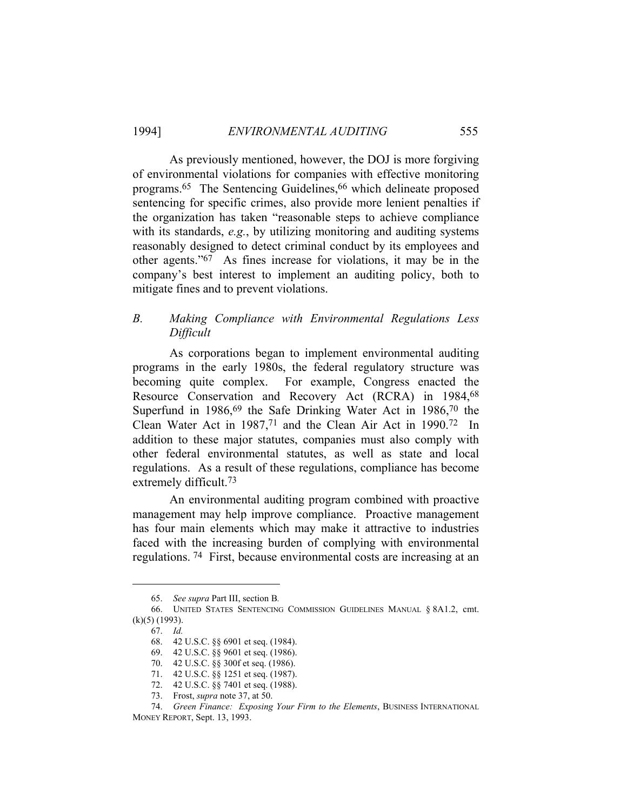As previously mentioned, however, the DOJ is more forgiving of environmental violations for companies with effective monitoring programs.<sup>65</sup> The Sentencing Guidelines,<sup>66</sup> which delineate proposed sentencing for specific crimes, also provide more lenient penalties if the organization has taken "reasonable steps to achieve compliance with its standards, *e.g.*, by utilizing monitoring and auditing systems reasonably designed to detect criminal conduct by its employees and other agents."67 As fines increase for violations, it may be in the company's best interest to implement an auditing policy, both to mitigate fines and to prevent violations.

#### *B. Making Compliance with Environmental Regulations Less Difficult*

 As corporations began to implement environmental auditing programs in the early 1980s, the federal regulatory structure was becoming quite complex. For example, Congress enacted the Resource Conservation and Recovery Act (RCRA) in 1984,68 Superfund in 1986,<sup>69</sup> the Safe Drinking Water Act in 1986,<sup>70</sup> the Clean Water Act in 1987,71 and the Clean Air Act in 1990.72 In addition to these major statutes, companies must also comply with other federal environmental statutes, as well as state and local regulations. As a result of these regulations, compliance has become extremely difficult.73

 An environmental auditing program combined with proactive management may help improve compliance. Proactive management has four main elements which may make it attractive to industries faced with the increasing burden of complying with environmental regulations. 74 First, because environmental costs are increasing at an

 <sup>65.</sup> *See supra* Part III, section B*.*

 <sup>66.</sup> UNITED STATES SENTENCING COMMISSION GUIDELINES MANUAL § 8A1.2, cmt. (k)(5) (1993).

 <sup>67.</sup> *Id.*

 <sup>68. 42</sup> U.S.C. §§ 6901 et seq. (1984).

 <sup>69. 42</sup> U.S.C. §§ 9601 et seq. (1986).

 <sup>70. 42</sup> U.S.C. §§ 300f et seq. (1986).

 <sup>71. 42</sup> U.S.C. §§ 1251 et seq. (1987).

 <sup>72. 42</sup> U.S.C. §§ 7401 et seq. (1988).

 <sup>73.</sup> Frost, *supra* note 37, at 50.

 <sup>74.</sup> *Green Finance: Exposing Your Firm to the Elements*, BUSINESS INTERNATIONAL MONEY REPORT, Sept. 13, 1993.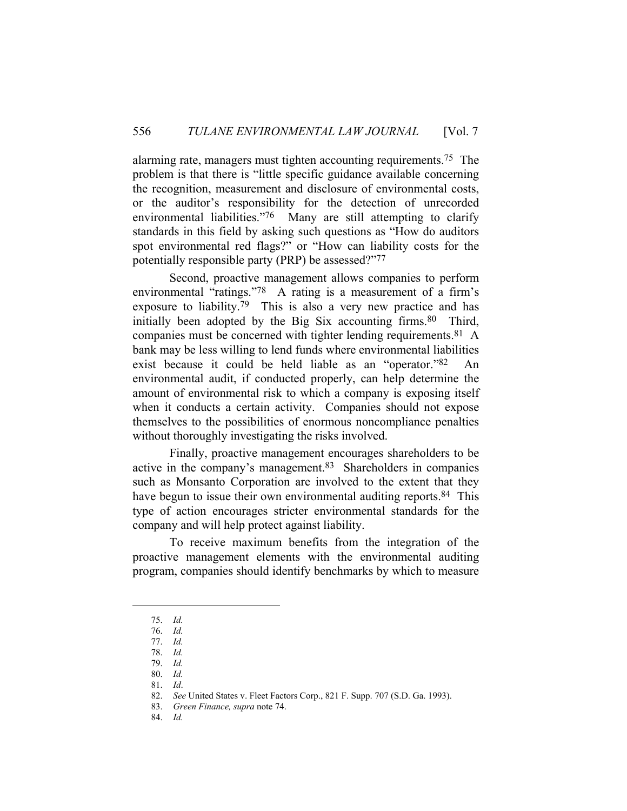alarming rate, managers must tighten accounting requirements.75 The problem is that there is "little specific guidance available concerning the recognition, measurement and disclosure of environmental costs, or the auditor's responsibility for the detection of unrecorded environmental liabilities."<sup>76</sup> Many are still attempting to clarify standards in this field by asking such questions as "How do auditors spot environmental red flags?" or "How can liability costs for the potentially responsible party (PRP) be assessed?"77

 Second, proactive management allows companies to perform environmental "ratings."78 A rating is a measurement of a firm's exposure to liability.79 This is also a very new practice and has initially been adopted by the Big Six accounting firms.<sup>80</sup> Third, companies must be concerned with tighter lending requirements.81 A bank may be less willing to lend funds where environmental liabilities exist because it could be held liable as an "operator."82 An environmental audit, if conducted properly, can help determine the amount of environmental risk to which a company is exposing itself when it conducts a certain activity. Companies should not expose themselves to the possibilities of enormous noncompliance penalties without thoroughly investigating the risks involved.

 Finally, proactive management encourages shareholders to be active in the company's management.83 Shareholders in companies such as Monsanto Corporation are involved to the extent that they have begun to issue their own environmental auditing reports.<sup>84</sup> This type of action encourages stricter environmental standards for the company and will help protect against liability.

 To receive maximum benefits from the integration of the proactive management elements with the environmental auditing program, companies should identify benchmarks by which to measure

84. *Id.*

 <sup>75.</sup> *Id.*

 <sup>76.</sup> *Id.*

 <sup>77.</sup> *Id.* 78. *Id.*

 <sup>79.</sup> *Id.* 80. *Id.*

 <sup>81.</sup> *Id*.

 <sup>82.</sup> *See* United States v. Fleet Factors Corp., 821 F. Supp. 707 (S.D. Ga. 1993).

 <sup>83.</sup> *Green Finance, supra* note 74.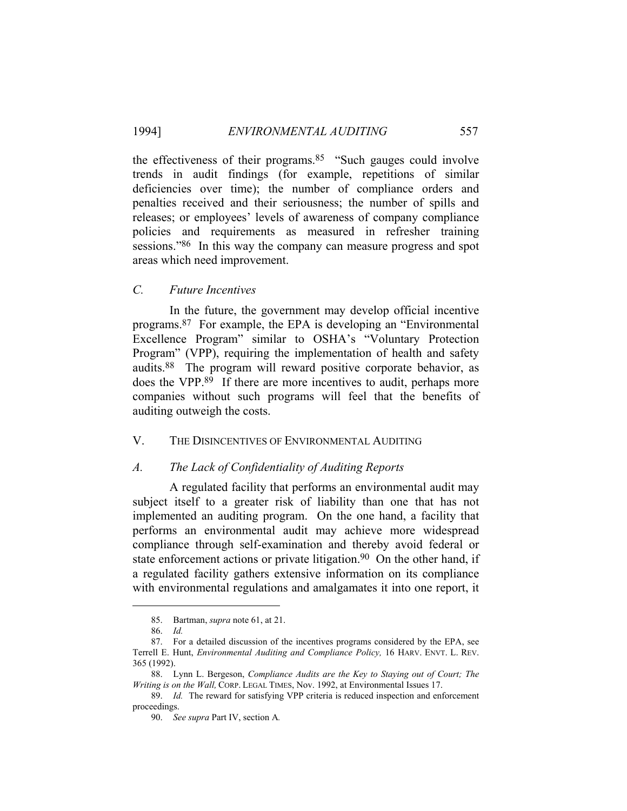the effectiveness of their programs.85 "Such gauges could involve trends in audit findings (for example, repetitions of similar deficiencies over time); the number of compliance orders and penalties received and their seriousness; the number of spills and releases; or employees' levels of awareness of company compliance policies and requirements as measured in refresher training sessions."86 In this way the company can measure progress and spot areas which need improvement.

#### *C. Future Incentives*

 In the future, the government may develop official incentive programs.87 For example, the EPA is developing an "Environmental Excellence Program" similar to OSHA's "Voluntary Protection Program" (VPP), requiring the implementation of health and safety audits.88 The program will reward positive corporate behavior, as does the VPP.89 If there are more incentives to audit, perhaps more companies without such programs will feel that the benefits of auditing outweigh the costs.

#### V. THE DISINCENTIVES OF ENVIRONMENTAL AUDITING

#### *A. The Lack of Confidentiality of Auditing Reports*

 A regulated facility that performs an environmental audit may subject itself to a greater risk of liability than one that has not implemented an auditing program. On the one hand, a facility that performs an environmental audit may achieve more widespread compliance through self-examination and thereby avoid federal or state enforcement actions or private litigation.<sup>90</sup> On the other hand, if a regulated facility gathers extensive information on its compliance with environmental regulations and amalgamates it into one report, it

 <sup>85.</sup> Bartman, *supra* note 61, at 21.

 <sup>86.</sup> *Id.*

 <sup>87.</sup> For a detailed discussion of the incentives programs considered by the EPA, see Terrell E. Hunt, *Environmental Auditing and Compliance Policy,* 16 HARV. ENVT. L. REV. 365 (1992).

 <sup>88.</sup> Lynn L. Bergeson, *Compliance Audits are the Key to Staying out of Court; The Writing is on the Wall,* CORP. LEGAL TIMES, Nov. 1992, at Environmental Issues 17.

 <sup>89.</sup> *Id.* The reward for satisfying VPP criteria is reduced inspection and enforcement proceedings.

 <sup>90.</sup> *See supra* Part IV, section A*.*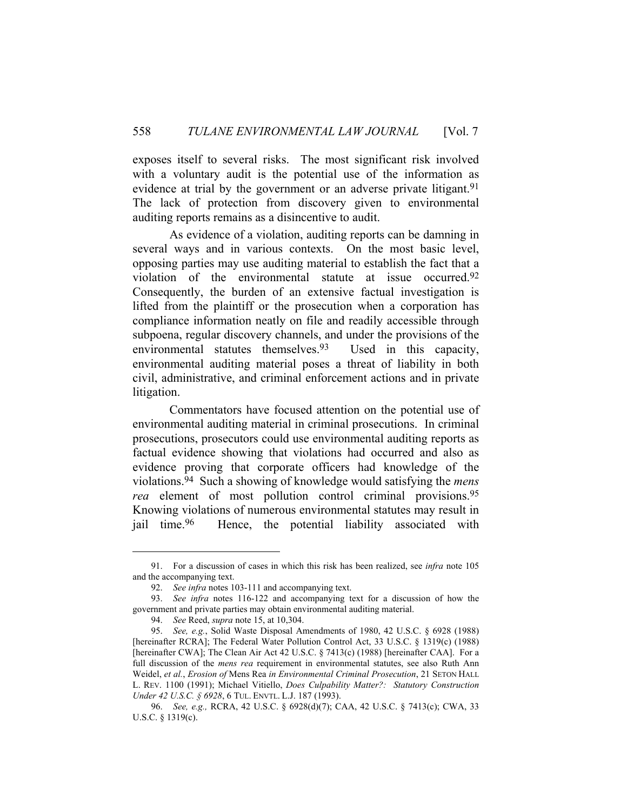exposes itself to several risks. The most significant risk involved with a voluntary audit is the potential use of the information as evidence at trial by the government or an adverse private litigant.<sup>91</sup> The lack of protection from discovery given to environmental auditing reports remains as a disincentive to audit.

 As evidence of a violation, auditing reports can be damning in several ways and in various contexts. On the most basic level, opposing parties may use auditing material to establish the fact that a violation of the environmental statute at issue occurred.92 Consequently, the burden of an extensive factual investigation is lifted from the plaintiff or the prosecution when a corporation has compliance information neatly on file and readily accessible through subpoena, regular discovery channels, and under the provisions of the environmental statutes themselves.93 Used in this capacity, environmental auditing material poses a threat of liability in both civil, administrative, and criminal enforcement actions and in private litigation.

 Commentators have focused attention on the potential use of environmental auditing material in criminal prosecutions. In criminal prosecutions, prosecutors could use environmental auditing reports as factual evidence showing that violations had occurred and also as evidence proving that corporate officers had knowledge of the violations.94 Such a showing of knowledge would satisfying the *mens rea* element of most pollution control criminal provisions.95 Knowing violations of numerous environmental statutes may result in jail time.96 Hence, the potential liability associated with

 <sup>91.</sup> For a discussion of cases in which this risk has been realized, see *infra* note 105 and the accompanying text.

 <sup>92.</sup> *See infra* notes 103-111 and accompanying text.

 <sup>93.</sup> *See infra* notes 116-122 and accompanying text for a discussion of how the government and private parties may obtain environmental auditing material.

 <sup>94.</sup> *See* Reed, *supra* note 15, at 10,304.

 <sup>95.</sup> *See, e.g.*, Solid Waste Disposal Amendments of 1980, 42 U.S.C. § 6928 (1988) [hereinafter RCRA]; The Federal Water Pollution Control Act, 33 U.S.C. § 1319(c) (1988) [hereinafter CWA]; The Clean Air Act 42 U.S.C. § 7413(c) (1988) [hereinafter CAA]. For a full discussion of the *mens rea* requirement in environmental statutes, see also Ruth Ann Weidel, *et al.*, *Erosion of* Mens Rea *in Environmental Criminal Prosecution*, 21 SETON HALL L. REV. 1100 (1991); Michael Vitiello, *Does Culpability Matter?: Statutory Construction Under 42 U.S.C. § 6928*, 6 TUL. ENVTL. L.J. 187 (1993).

 <sup>96.</sup> *See, e.g.,* RCRA, 42 U.S.C. § 6928(d)(7); CAA, 42 U.S.C. § 7413(c); CWA, 33 U.S.C. § 1319(c).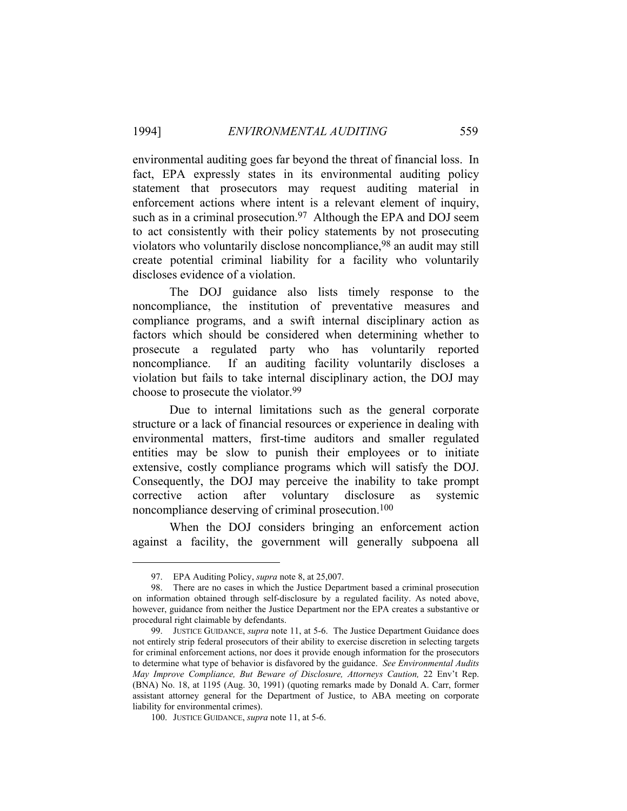environmental auditing goes far beyond the threat of financial loss. In fact, EPA expressly states in its environmental auditing policy statement that prosecutors may request auditing material in enforcement actions where intent is a relevant element of inquiry, such as in a criminal prosecution.<sup>97</sup> Although the EPA and DOJ seem to act consistently with their policy statements by not prosecuting violators who voluntarily disclose noncompliance,98 an audit may still create potential criminal liability for a facility who voluntarily discloses evidence of a violation.

 The DOJ guidance also lists timely response to the noncompliance, the institution of preventative measures and compliance programs, and a swift internal disciplinary action as factors which should be considered when determining whether to prosecute a regulated party who has voluntarily reported noncompliance. If an auditing facility voluntarily discloses a violation but fails to take internal disciplinary action, the DOJ may choose to prosecute the violator.99

 Due to internal limitations such as the general corporate structure or a lack of financial resources or experience in dealing with environmental matters, first-time auditors and smaller regulated entities may be slow to punish their employees or to initiate extensive, costly compliance programs which will satisfy the DOJ. Consequently, the DOJ may perceive the inability to take prompt corrective action after voluntary disclosure as systemic noncompliance deserving of criminal prosecution.100

 When the DOJ considers bringing an enforcement action against a facility, the government will generally subpoena all

 <sup>97.</sup> EPA Auditing Policy, *supra* note 8, at 25,007.

 <sup>98.</sup> There are no cases in which the Justice Department based a criminal prosecution on information obtained through self-disclosure by a regulated facility. As noted above, however, guidance from neither the Justice Department nor the EPA creates a substantive or procedural right claimable by defendants.

 <sup>99.</sup> JUSTICE GUIDANCE, *supra* note 11, at 5-6. The Justice Department Guidance does not entirely strip federal prosecutors of their ability to exercise discretion in selecting targets for criminal enforcement actions, nor does it provide enough information for the prosecutors to determine what type of behavior is disfavored by the guidance. *See Environmental Audits May Improve Compliance, But Beware of Disclosure, Attorneys Caution,* 22 Env't Rep. (BNA) No. 18, at 1195 (Aug. 30, 1991) (quoting remarks made by Donald A. Carr, former assistant attorney general for the Department of Justice, to ABA meeting on corporate liability for environmental crimes).

 <sup>100.</sup> JUSTICE GUIDANCE, *supra* note 11, at 5-6.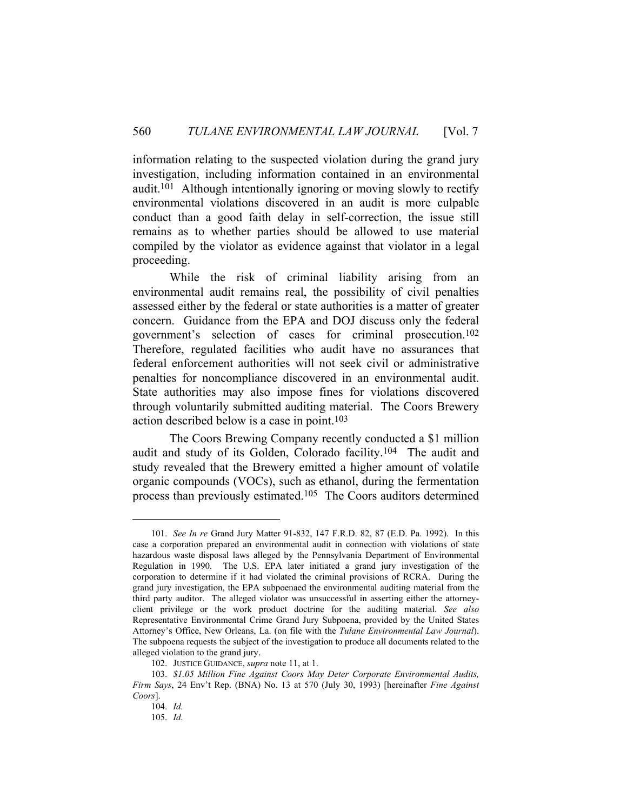information relating to the suspected violation during the grand jury investigation, including information contained in an environmental audit.101 Although intentionally ignoring or moving slowly to rectify environmental violations discovered in an audit is more culpable conduct than a good faith delay in self-correction, the issue still remains as to whether parties should be allowed to use material compiled by the violator as evidence against that violator in a legal proceeding.

 While the risk of criminal liability arising from an environmental audit remains real, the possibility of civil penalties assessed either by the federal or state authorities is a matter of greater concern. Guidance from the EPA and DOJ discuss only the federal government's selection of cases for criminal prosecution.102 Therefore, regulated facilities who audit have no assurances that federal enforcement authorities will not seek civil or administrative penalties for noncompliance discovered in an environmental audit. State authorities may also impose fines for violations discovered through voluntarily submitted auditing material. The Coors Brewery action described below is a case in point.103

 The Coors Brewing Company recently conducted a \$1 million audit and study of its Golden, Colorado facility.104 The audit and study revealed that the Brewery emitted a higher amount of volatile organic compounds (VOCs), such as ethanol, during the fermentation process than previously estimated.105 The Coors auditors determined

 <sup>101.</sup> *See In re* Grand Jury Matter 91-832, 147 F.R.D. 82, 87 (E.D. Pa. 1992). In this case a corporation prepared an environmental audit in connection with violations of state hazardous waste disposal laws alleged by the Pennsylvania Department of Environmental Regulation in 1990. The U.S. EPA later initiated a grand jury investigation of the corporation to determine if it had violated the criminal provisions of RCRA. During the grand jury investigation, the EPA subpoenaed the environmental auditing material from the third party auditor. The alleged violator was unsuccessful in asserting either the attorneyclient privilege or the work product doctrine for the auditing material. *See also*  Representative Environmental Crime Grand Jury Subpoena, provided by the United States Attorney's Office, New Orleans, La. (on file with the *Tulane Environmental Law Journal*). The subpoena requests the subject of the investigation to produce all documents related to the alleged violation to the grand jury.

 <sup>102.</sup> JUSTICE GUIDANCE, *supra* note 11, at 1.

 <sup>103.</sup> *\$1.05 Million Fine Against Coors May Deter Corporate Environmental Audits, Firm Says*, 24 Env't Rep. (BNA) No. 13 at 570 (July 30, 1993) [hereinafter *Fine Against Coors*].

 <sup>104.</sup> *Id.*

 <sup>105.</sup> *Id.*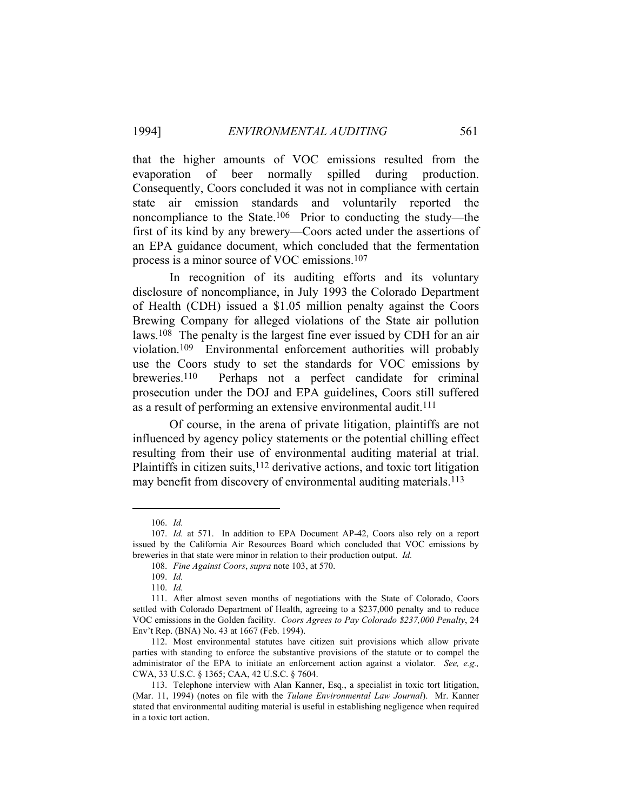that the higher amounts of VOC emissions resulted from the evaporation of beer normally spilled during production. Consequently, Coors concluded it was not in compliance with certain state air emission standards and voluntarily reported the noncompliance to the State.106 Prior to conducting the study—the first of its kind by any brewery—Coors acted under the assertions of an EPA guidance document, which concluded that the fermentation process is a minor source of VOC emissions.107

 In recognition of its auditing efforts and its voluntary disclosure of noncompliance, in July 1993 the Colorado Department of Health (CDH) issued a \$1.05 million penalty against the Coors Brewing Company for alleged violations of the State air pollution laws.108 The penalty is the largest fine ever issued by CDH for an air violation.109 Environmental enforcement authorities will probably use the Coors study to set the standards for VOC emissions by breweries.110 Perhaps not a perfect candidate for criminal prosecution under the DOJ and EPA guidelines, Coors still suffered as a result of performing an extensive environmental audit.<sup>111</sup>

 Of course, in the arena of private litigation, plaintiffs are not influenced by agency policy statements or the potential chilling effect resulting from their use of environmental auditing material at trial. Plaintiffs in citizen suits,<sup>112</sup> derivative actions, and toxic tort litigation may benefit from discovery of environmental auditing materials.<sup>113</sup>

 <sup>106.</sup> *Id.*

 <sup>107.</sup> *Id.* at 571. In addition to EPA Document AP-42, Coors also rely on a report issued by the California Air Resources Board which concluded that VOC emissions by breweries in that state were minor in relation to their production output. *Id.*

 <sup>108.</sup> *Fine Against Coors*, *supra* note 103, at 570.

 <sup>109.</sup> *Id.*

 <sup>110.</sup> *Id.*

 <sup>111.</sup> After almost seven months of negotiations with the State of Colorado, Coors settled with Colorado Department of Health, agreeing to a \$237,000 penalty and to reduce VOC emissions in the Golden facility. *Coors Agrees to Pay Colorado \$237,000 Penalty*, 24 Env't Rep. (BNA) No. 43 at 1667 (Feb. 1994).

 <sup>112.</sup> Most environmental statutes have citizen suit provisions which allow private parties with standing to enforce the substantive provisions of the statute or to compel the administrator of the EPA to initiate an enforcement action against a violator. *See, e.g.,*  CWA, 33 U.S.C. § 1365; CAA, 42 U.S.C. § 7604.

 <sup>113.</sup> Telephone interview with Alan Kanner, Esq., a specialist in toxic tort litigation, (Mar. 11, 1994) (notes on file with the *Tulane Environmental Law Journal*). Mr. Kanner stated that environmental auditing material is useful in establishing negligence when required in a toxic tort action.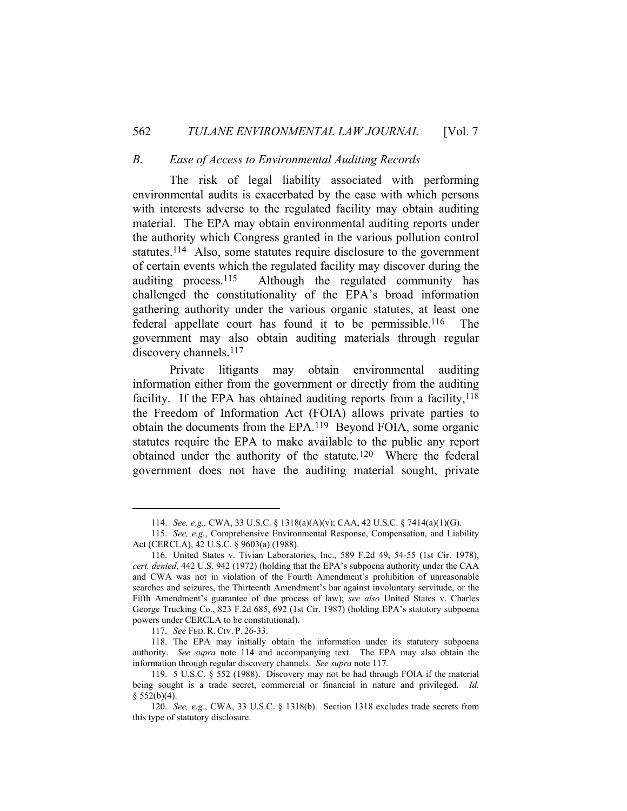#### *B. Ease of Access to Environmental Auditing Records*

 The risk of legal liability associated with performing environmental audits is exacerbated by the ease with which persons with interests adverse to the regulated facility may obtain auditing material. The EPA may obtain environmental auditing reports under the authority which Congress granted in the various pollution control statutes.114 Also, some statutes require disclosure to the government of certain events which the regulated facility may discover during the auditing process.115 Although the regulated community has challenged the constitutionality of the EPA's broad information gathering authority under the various organic statutes, at least one federal appellate court has found it to be permissible.116 The government may also obtain auditing materials through regular discovery channels.<sup>117</sup>

 Private litigants may obtain environmental auditing information either from the government or directly from the auditing facility. If the EPA has obtained auditing reports from a facility,  $118$ the Freedom of Information Act (FOIA) allows private parties to obtain the documents from the EPA.119 Beyond FOIA, some organic statutes require the EPA to make available to the public any report obtained under the authority of the statute.120 Where the federal government does not have the auditing material sought, private

117. *See* FED. R. CIV. P. 26-33.

 118. The EPA may initially obtain the information under its statutory subpoena authority. *See supra* note 114 and accompanying text. The EPA may also obtain the information through regular discovery channels. *See supra* note 117*.*

 <sup>114.</sup> *See, e.g.,* CWA, 33 U.S.C. § 1318(a)(A)(v); CAA, 42 U.S.C. § 7414(a)(1)(G).

 <sup>115.</sup> *See, e.g.*, Comprehensive Environmental Response, Compensation, and Liability Act (CERCLA), 42 U.S.C. § 9603(a) (1988).

 <sup>116.</sup> United States v. Tivian Laboratories, Inc., 589 F.2d 49, 54-55 (1st Cir. 1978), *cert. denied*, 442 U.S. 942 (1972) (holding that the EPA's subpoena authority under the CAA and CWA was not in violation of the Fourth Amendment's prohibition of unreasonable searches and seizures, the Thirteenth Amendment's bar against involuntary servitude, or the Fifth Amendment's guarantee of due process of law); *see also* United States v. Charles George Trucking Co., 823 F.2d 685, 692 (1st Cir. 1987) (holding EPA's statutory subpoena powers under CERCLA to be constitutional).

 <sup>119. 5</sup> U.S.C. § 552 (1988). Discovery may not be had through FOIA if the material being sought is a trade secret, commercial or financial in nature and privileged. *Id.*   $§$  552(b)(4).

 <sup>120.</sup> *See, e.g.*, CWA, 33 U.S.C. § 1318(b). Section 1318 excludes trade secrets from this type of statutory disclosure.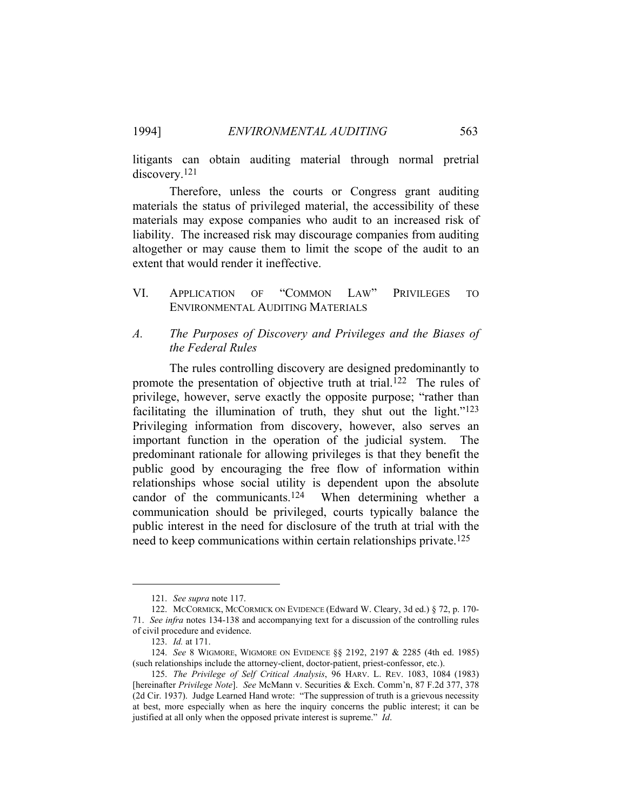litigants can obtain auditing material through normal pretrial discovery.121

 Therefore, unless the courts or Congress grant auditing materials the status of privileged material, the accessibility of these materials may expose companies who audit to an increased risk of liability. The increased risk may discourage companies from auditing altogether or may cause them to limit the scope of the audit to an extent that would render it ineffective.

#### VI. APPLICATION OF "COMMON LAW" PRIVILEGES TO ENVIRONMENTAL AUDITING MATERIALS

#### *A. The Purposes of Discovery and Privileges and the Biases of the Federal Rules*

 The rules controlling discovery are designed predominantly to promote the presentation of objective truth at trial.<sup>122</sup> The rules of privilege, however, serve exactly the opposite purpose; "rather than facilitating the illumination of truth, they shut out the light."<sup>123</sup> Privileging information from discovery, however, also serves an important function in the operation of the judicial system. The predominant rationale for allowing privileges is that they benefit the public good by encouraging the free flow of information within relationships whose social utility is dependent upon the absolute candor of the communicants.124 When determining whether a communication should be privileged, courts typically balance the public interest in the need for disclosure of the truth at trial with the need to keep communications within certain relationships private.125

 <sup>121.</sup> *See supra* note 117.

 <sup>122.</sup> MCCORMICK, MCCORMICK ON EVIDENCE (Edward W. Cleary, 3d ed.) § 72, p. 170- 71. *See infra* notes 134-138 and accompanying text for a discussion of the controlling rules of civil procedure and evidence.

 <sup>123.</sup> *Id.* at 171.

 <sup>124.</sup> *See* 8 WIGMORE, WIGMORE ON EVIDENCE §§ 2192, 2197 & 2285 (4th ed. 1985) (such relationships include the attorney-client, doctor-patient, priest-confessor, etc.).

 <sup>125.</sup> *The Privilege of Self Critical Analysis*, 96 HARV. L. REV. 1083, 1084 (1983) [hereinafter *Privilege Note*]. *See* McMann v. Securities & Exch. Comm'n, 87 F.2d 377, 378 (2d Cir. 1937). Judge Learned Hand wrote: "The suppression of truth is a grievous necessity at best, more especially when as here the inquiry concerns the public interest; it can be justified at all only when the opposed private interest is supreme." *Id*.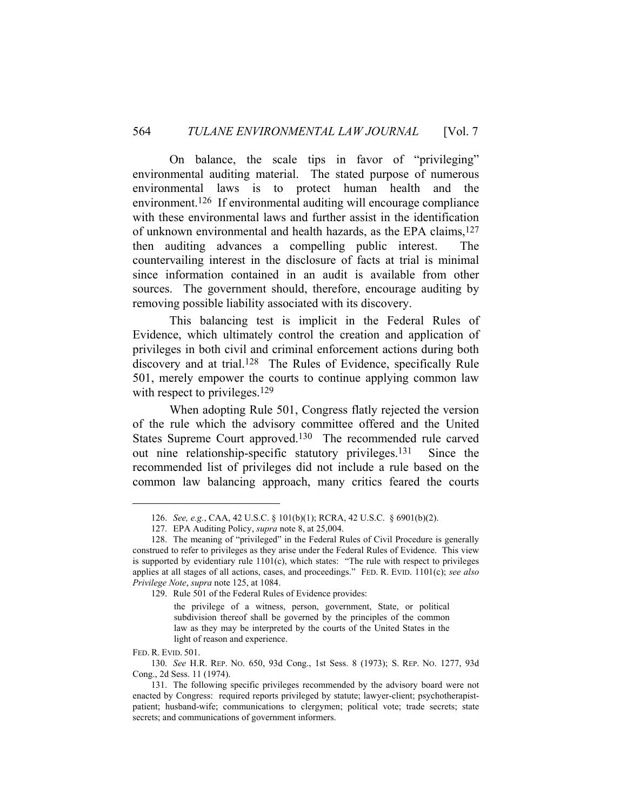On balance, the scale tips in favor of "privileging" environmental auditing material. The stated purpose of numerous environmental laws is to protect human health and the environment.126 If environmental auditing will encourage compliance with these environmental laws and further assist in the identification of unknown environmental and health hazards, as the EPA claims,127 then auditing advances a compelling public interest. The countervailing interest in the disclosure of facts at trial is minimal since information contained in an audit is available from other sources. The government should, therefore, encourage auditing by removing possible liability associated with its discovery.

 This balancing test is implicit in the Federal Rules of Evidence, which ultimately control the creation and application of privileges in both civil and criminal enforcement actions during both discovery and at trial.<sup>128</sup> The Rules of Evidence, specifically Rule 501, merely empower the courts to continue applying common law with respect to privileges.<sup>129</sup>

 When adopting Rule 501, Congress flatly rejected the version of the rule which the advisory committee offered and the United States Supreme Court approved.130 The recommended rule carved out nine relationship-specific statutory privileges.<sup>131</sup> Since the recommended list of privileges did not include a rule based on the common law balancing approach, many critics feared the courts

129. Rule 501 of the Federal Rules of Evidence provides:

FED. R. EVID. 501.

 130. *See* H.R. REP. NO. 650, 93d Cong., 1st Sess. 8 (1973); S. REP. NO. 1277, 93d Cong., 2d Sess. 11 (1974).

 <sup>126.</sup> *See, e.g.*, CAA, 42 U.S.C. § 101(b)(1); RCRA, 42 U.S.C. § 6901(b)(2).

 <sup>127.</sup> EPA Auditing Policy, *supra* note 8, at 25,004.

 <sup>128.</sup> The meaning of "privileged" in the Federal Rules of Civil Procedure is generally construed to refer to privileges as they arise under the Federal Rules of Evidence. This view is supported by evidentiary rule 1101(c), which states: "The rule with respect to privileges applies at all stages of all actions, cases, and proceedings." FED. R. EVID. 1101(c); *see also Privilege Note*, *supra* note 125, at 1084.

the privilege of a witness, person, government, State, or political subdivision thereof shall be governed by the principles of the common law as they may be interpreted by the courts of the United States in the light of reason and experience.

 <sup>131.</sup> The following specific privileges recommended by the advisory board were not enacted by Congress: required reports privileged by statute; lawyer-client; psychotherapistpatient; husband-wife; communications to clergymen; political vote; trade secrets; state secrets; and communications of government informers.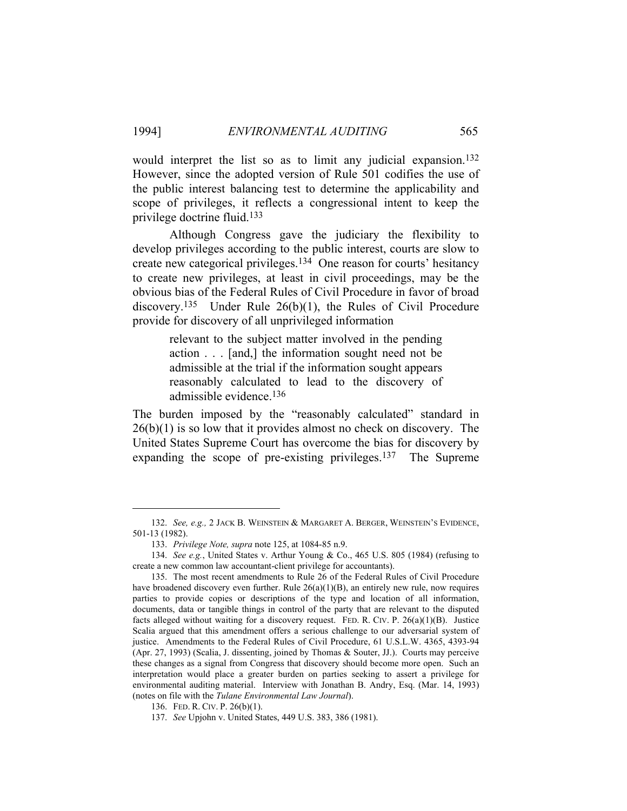would interpret the list so as to limit any judicial expansion.132 However, since the adopted version of Rule 501 codifies the use of the public interest balancing test to determine the applicability and scope of privileges, it reflects a congressional intent to keep the privilege doctrine fluid.133

 Although Congress gave the judiciary the flexibility to develop privileges according to the public interest, courts are slow to create new categorical privileges.134 One reason for courts' hesitancy to create new privileges, at least in civil proceedings, may be the obvious bias of the Federal Rules of Civil Procedure in favor of broad discovery.135 Under Rule 26(b)(1), the Rules of Civil Procedure provide for discovery of all unprivileged information

> relevant to the subject matter involved in the pending action . . . [and,] the information sought need not be admissible at the trial if the information sought appears reasonably calculated to lead to the discovery of admissible evidence.136

The burden imposed by the "reasonably calculated" standard in  $26(b)(1)$  is so low that it provides almost no check on discovery. The United States Supreme Court has overcome the bias for discovery by expanding the scope of pre-existing privileges.<sup>137</sup> The Supreme

 <sup>132.</sup> *See, e.g.,* 2 JACK B. WEINSTEIN & MARGARET A. BERGER, WEINSTEIN'S EVIDENCE, 501-13 (1982).

 <sup>133.</sup> *Privilege Note, supra* note 125, at 1084-85 n.9.

 <sup>134.</sup> *See e.g.*, United States v. Arthur Young & Co., 465 U.S. 805 (1984) (refusing to create a new common law accountant-client privilege for accountants).

 <sup>135.</sup> The most recent amendments to Rule 26 of the Federal Rules of Civil Procedure have broadened discovery even further. Rule  $26(a)(1)(B)$ , an entirely new rule, now requires parties to provide copies or descriptions of the type and location of all information, documents, data or tangible things in control of the party that are relevant to the disputed facts alleged without waiting for a discovery request. FED. R. CIV. P.  $26(a)(1)(B)$ . Justice Scalia argued that this amendment offers a serious challenge to our adversarial system of justice. Amendments to the Federal Rules of Civil Procedure, 61 U.S.L.W. 4365, 4393-94 (Apr. 27, 1993) (Scalia, J. dissenting, joined by Thomas & Souter, JJ.). Courts may perceive these changes as a signal from Congress that discovery should become more open. Such an interpretation would place a greater burden on parties seeking to assert a privilege for environmental auditing material. Interview with Jonathan B. Andry, Esq. (Mar. 14, 1993) (notes on file with the *Tulane Environmental Law Journal*).

 <sup>136.</sup> FED. R. CIV. P. 26(b)(1).

 <sup>137.</sup> *See* Upjohn v. United States, 449 U.S. 383, 386 (1981).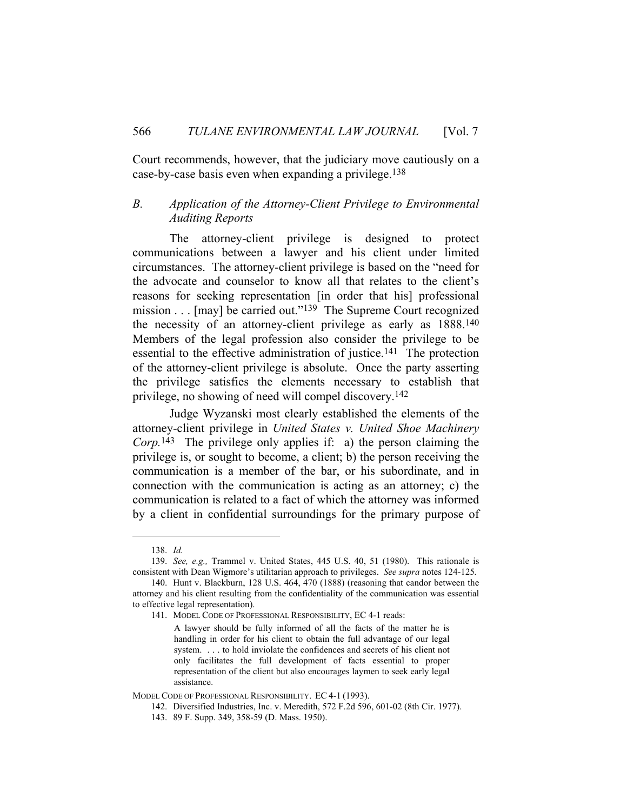Court recommends, however, that the judiciary move cautiously on a case-by-case basis even when expanding a privilege.138

#### *B. Application of the Attorney-Client Privilege to Environmental Auditing Reports*

 The attorney-client privilege is designed to protect communications between a lawyer and his client under limited circumstances. The attorney-client privilege is based on the "need for the advocate and counselor to know all that relates to the client's reasons for seeking representation [in order that his] professional mission . . . [may] be carried out."<sup>139</sup> The Supreme Court recognized the necessity of an attorney-client privilege as early as 1888.140 Members of the legal profession also consider the privilege to be essential to the effective administration of justice.141 The protection of the attorney-client privilege is absolute. Once the party asserting the privilege satisfies the elements necessary to establish that privilege, no showing of need will compel discovery.142

 Judge Wyzanski most clearly established the elements of the attorney-client privilege in *United States v. United Shoe Machinery Corp.*143 The privilege only applies if: a) the person claiming the privilege is, or sought to become, a client; b) the person receiving the communication is a member of the bar, or his subordinate, and in connection with the communication is acting as an attorney; c) the communication is related to a fact of which the attorney was informed by a client in confidential surroundings for the primary purpose of

 <sup>138.</sup> *Id.*

 <sup>139.</sup> *See, e.g.,* Trammel v. United States, 445 U.S. 40, 51 (1980). This rationale is consistent with Dean Wigmore's utilitarian approach to privileges. *See supra* notes 124-125*.*

 <sup>140.</sup> Hunt v. Blackburn, 128 U.S. 464, 470 (1888) (reasoning that candor between the attorney and his client resulting from the confidentiality of the communication was essential to effective legal representation).

 <sup>141.</sup> MODEL CODE OF PROFESSIONAL RESPONSIBILITY, EC 4-1 reads:

A lawyer should be fully informed of all the facts of the matter he is handling in order for his client to obtain the full advantage of our legal system. . . . to hold inviolate the confidences and secrets of his client not only facilitates the full development of facts essential to proper representation of the client but also encourages laymen to seek early legal assistance.

MODEL CODE OF PROFESSIONAL RESPONSIBILITY.EC 4-1 (1993).

 <sup>142.</sup> Diversified Industries, Inc. v. Meredith, 572 F.2d 596, 601-02 (8th Cir. 1977).

 <sup>143. 89</sup> F. Supp. 349, 358-59 (D. Mass. 1950).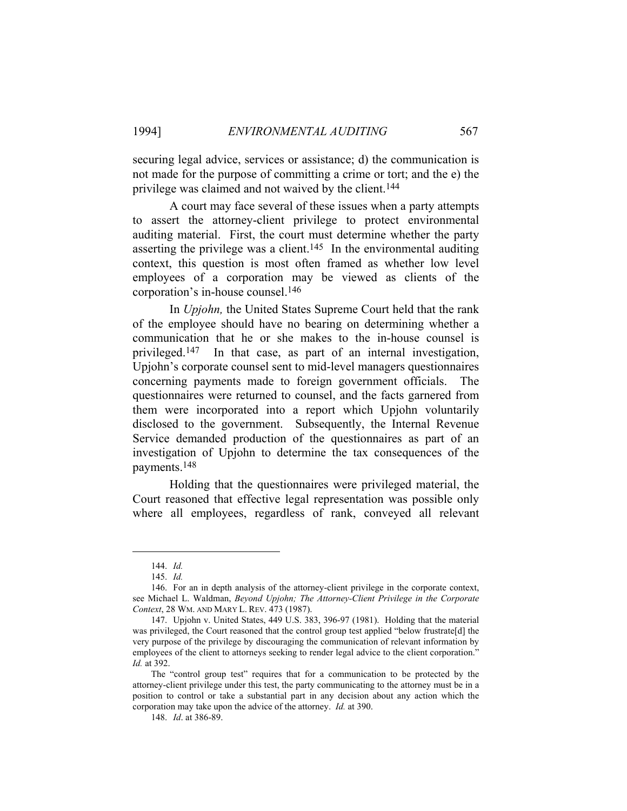securing legal advice, services or assistance; d) the communication is not made for the purpose of committing a crime or tort; and the e) the privilege was claimed and not waived by the client.144

 A court may face several of these issues when a party attempts to assert the attorney-client privilege to protect environmental auditing material. First, the court must determine whether the party asserting the privilege was a client.<sup>145</sup> In the environmental auditing context, this question is most often framed as whether low level employees of a corporation may be viewed as clients of the corporation's in-house counsel.146

 In *Upjohn,* the United States Supreme Court held that the rank of the employee should have no bearing on determining whether a communication that he or she makes to the in-house counsel is privileged.147 In that case, as part of an internal investigation, Upjohn's corporate counsel sent to mid-level managers questionnaires concerning payments made to foreign government officials. The questionnaires were returned to counsel, and the facts garnered from them were incorporated into a report which Upjohn voluntarily disclosed to the government. Subsequently, the Internal Revenue Service demanded production of the questionnaires as part of an investigation of Upjohn to determine the tax consequences of the payments.148

 Holding that the questionnaires were privileged material, the Court reasoned that effective legal representation was possible only where all employees, regardless of rank, conveyed all relevant

 <sup>144.</sup> *Id.*

 <sup>145.</sup> *Id.*

 <sup>146.</sup> For an in depth analysis of the attorney-client privilege in the corporate context, see Michael L. Waldman, *Beyond Upjohn; The Attorney-Client Privilege in the Corporate Context*, 28 WM. AND MARY L. REV. 473 (1987).

 <sup>147.</sup> Upjohn v. United States, 449 U.S. 383, 396-97 (1981). Holding that the material was privileged, the Court reasoned that the control group test applied "below frustrate[d] the very purpose of the privilege by discouraging the communication of relevant information by employees of the client to attorneys seeking to render legal advice to the client corporation." *Id.* at 392.

The "control group test" requires that for a communication to be protected by the attorney-client privilege under this test, the party communicating to the attorney must be in a position to control or take a substantial part in any decision about any action which the corporation may take upon the advice of the attorney. *Id.* at 390.

 <sup>148.</sup> *Id*. at 386-89.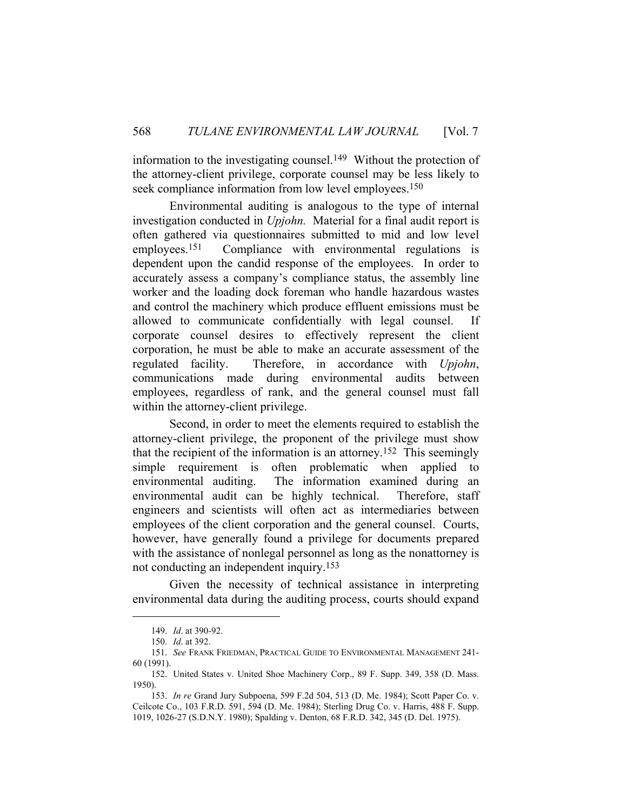information to the investigating counsel.<sup>149</sup> Without the protection of the attorney-client privilege, corporate counsel may be less likely to seek compliance information from low level employees.<sup>150</sup>

 Environmental auditing is analogous to the type of internal investigation conducted in *Upjohn.* Material for a final audit report is often gathered via questionnaires submitted to mid and low level employees.151 Compliance with environmental regulations is dependent upon the candid response of the employees. In order to accurately assess a company's compliance status, the assembly line worker and the loading dock foreman who handle hazardous wastes and control the machinery which produce effluent emissions must be allowed to communicate confidentially with legal counsel. If corporate counsel desires to effectively represent the client corporation, he must be able to make an accurate assessment of the regulated facility. Therefore, in accordance with *Upjohn*, communications made during environmental audits between employees, regardless of rank, and the general counsel must fall within the attorney-client privilege.

 Second, in order to meet the elements required to establish the attorney-client privilege, the proponent of the privilege must show that the recipient of the information is an attorney.152 This seemingly simple requirement is often problematic when applied to environmental auditing. The information examined during an environmental audit can be highly technical. Therefore, staff engineers and scientists will often act as intermediaries between employees of the client corporation and the general counsel. Courts, however, have generally found a privilege for documents prepared with the assistance of nonlegal personnel as long as the nonattorney is not conducting an independent inquiry.153

 Given the necessity of technical assistance in interpreting environmental data during the auditing process, courts should expand

 <sup>149.</sup> *Id*. at 390-92.

 <sup>150.</sup> *Id*. at 392.

 <sup>151.</sup> *See* FRANK FRIEDMAN, PRACTICAL GUIDE TO ENVIRONMENTAL MANAGEMENT 241- 60 (1991).

 <sup>152.</sup> United States v. United Shoe Machinery Corp., 89 F. Supp. 349, 358 (D. Mass. 1950).

 <sup>153.</sup> *In re* Grand Jury Subpoena, 599 F.2d 504, 513 (D. Me. 1984); Scott Paper Co. v. Ceilcote Co., 103 F.R.D. 591, 594 (D. Me. 1984); Sterling Drug Co. v. Harris, 488 F. Supp. 1019, 1026-27 (S.D.N.Y. 1980); Spalding v. Denton, 68 F.R.D. 342, 345 (D. Del. 1975).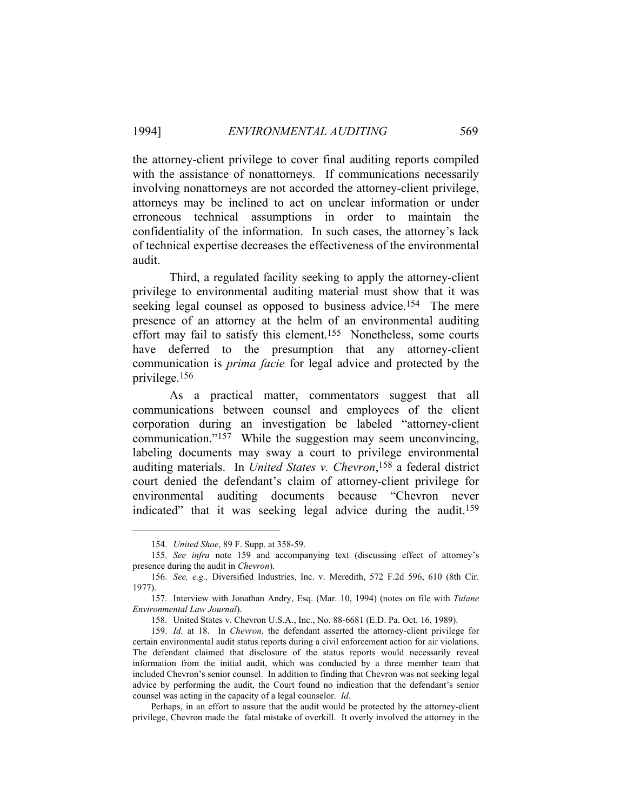the attorney-client privilege to cover final auditing reports compiled with the assistance of nonattorneys. If communications necessarily involving nonattorneys are not accorded the attorney-client privilege, attorneys may be inclined to act on unclear information or under erroneous technical assumptions in order to maintain the confidentiality of the information. In such cases, the attorney's lack of technical expertise decreases the effectiveness of the environmental audit.

 Third, a regulated facility seeking to apply the attorney-client privilege to environmental auditing material must show that it was seeking legal counsel as opposed to business advice.<sup>154</sup> The mere presence of an attorney at the helm of an environmental auditing effort may fail to satisfy this element.155 Nonetheless, some courts have deferred to the presumption that any attorney-client communication is *prima facie* for legal advice and protected by the privilege.156

 As a practical matter, commentators suggest that all communications between counsel and employees of the client corporation during an investigation be labeled "attorney-client communication."157 While the suggestion may seem unconvincing, labeling documents may sway a court to privilege environmental auditing materials. In *United States v. Chevron*, 158 a federal district court denied the defendant's claim of attorney-client privilege for environmental auditing documents because "Chevron never indicated" that it was seeking legal advice during the audit.<sup>159</sup>

 Perhaps, in an effort to assure that the audit would be protected by the attorney-client privilege, Chevron made the fatal mistake of overkill. It overly involved the attorney in the

 <sup>154.</sup> *United Shoe*, 89 F. Supp. at 358-59.

 <sup>155.</sup> *See infra* note 159 and accompanying text (discussing effect of attorney's presence during the audit in *Chevron*).

 <sup>156.</sup> *See, e.g.,* Diversified Industries, Inc. v. Meredith, 572 F.2d 596, 610 (8th Cir. 1977).

 <sup>157.</sup> Interview with Jonathan Andry, Esq. (Mar. 10, 1994) (notes on file with *Tulane Environmental Law Journal*).

 <sup>158.</sup> United States v. Chevron U.S.A., Inc., No. 88-6681 (E.D. Pa. Oct. 16, 1989).

 <sup>159.</sup> *Id.* at 18. In *Chevron,* the defendant asserted the attorney-client privilege for certain environmental audit status reports during a civil enforcement action for air violations. The defendant claimed that disclosure of the status reports would necessarily reveal information from the initial audit, which was conducted by a three member team that included Chevron's senior counsel. In addition to finding that Chevron was not seeking legal advice by performing the audit, the Court found no indication that the defendant's senior counsel was acting in the capacity of a legal counselor. *Id.*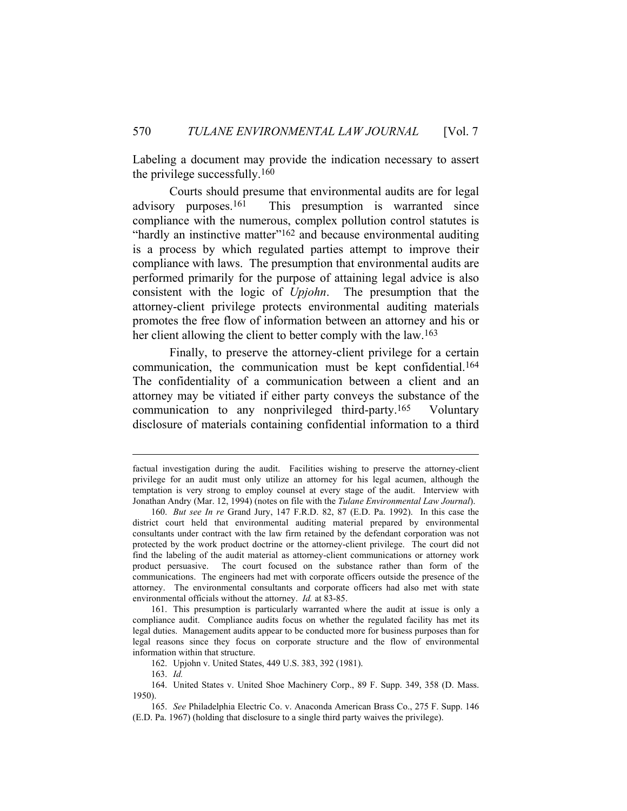Labeling a document may provide the indication necessary to assert the privilege successfully.160

 Courts should presume that environmental audits are for legal advisory purposes.161 This presumption is warranted since compliance with the numerous, complex pollution control statutes is "hardly an instinctive matter"<sup>162</sup> and because environmental auditing is a process by which regulated parties attempt to improve their compliance with laws. The presumption that environmental audits are performed primarily for the purpose of attaining legal advice is also consistent with the logic of *Upjohn*. The presumption that the attorney-client privilege protects environmental auditing materials promotes the free flow of information between an attorney and his or her client allowing the client to better comply with the law.<sup>163</sup>

 Finally, to preserve the attorney-client privilege for a certain communication, the communication must be kept confidential.164 The confidentiality of a communication between a client and an attorney may be vitiated if either party conveys the substance of the communication to any nonprivileged third-party.165 Voluntary disclosure of materials containing confidential information to a third

factual investigation during the audit. Facilities wishing to preserve the attorney-client privilege for an audit must only utilize an attorney for his legal acumen, although the temptation is very strong to employ counsel at every stage of the audit. Interview with Jonathan Andry (Mar. 12, 1994) (notes on file with the *Tulane Environmental Law Journal*).

 <sup>160.</sup> *But see In re* Grand Jury, 147 F.R.D. 82, 87 (E.D. Pa. 1992). In this case the district court held that environmental auditing material prepared by environmental consultants under contract with the law firm retained by the defendant corporation was not protected by the work product doctrine or the attorney-client privilege. The court did not find the labeling of the audit material as attorney-client communications or attorney work product persuasive. The court focused on the substance rather than form of the communications. The engineers had met with corporate officers outside the presence of the attorney. The environmental consultants and corporate officers had also met with state environmental officials without the attorney. *Id.* at 83-85.

 <sup>161.</sup> This presumption is particularly warranted where the audit at issue is only a compliance audit. Compliance audits focus on whether the regulated facility has met its legal duties. Management audits appear to be conducted more for business purposes than for legal reasons since they focus on corporate structure and the flow of environmental information within that structure.

 <sup>162.</sup> Upjohn v. United States, 449 U.S. 383, 392 (1981).

 <sup>163.</sup> *Id.*

 <sup>164.</sup> United States v. United Shoe Machinery Corp., 89 F. Supp. 349, 358 (D. Mass. 1950).

 <sup>165.</sup> *See* Philadelphia Electric Co. v. Anaconda American Brass Co., 275 F. Supp. 146 (E.D. Pa. 1967) (holding that disclosure to a single third party waives the privilege).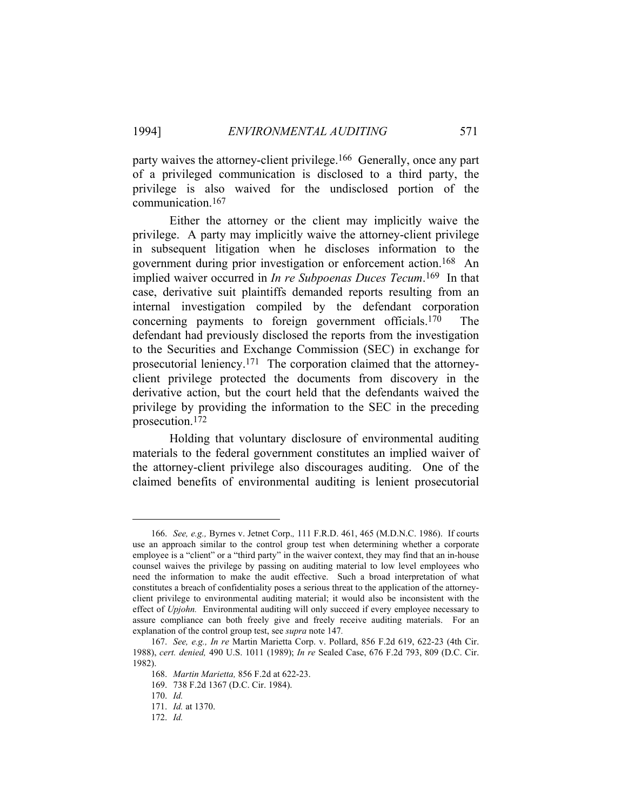party waives the attorney-client privilege.166 Generally, once any part of a privileged communication is disclosed to a third party, the privilege is also waived for the undisclosed portion of the communication.167

 Either the attorney or the client may implicitly waive the privilege. A party may implicitly waive the attorney-client privilege in subsequent litigation when he discloses information to the government during prior investigation or enforcement action.168 An implied waiver occurred in *In re Subpoenas Duces Tecum*.169 In that case, derivative suit plaintiffs demanded reports resulting from an internal investigation compiled by the defendant corporation concerning payments to foreign government officials.170 The defendant had previously disclosed the reports from the investigation to the Securities and Exchange Commission (SEC) in exchange for prosecutorial leniency.171 The corporation claimed that the attorneyclient privilege protected the documents from discovery in the derivative action, but the court held that the defendants waived the privilege by providing the information to the SEC in the preceding prosecution.172

 Holding that voluntary disclosure of environmental auditing materials to the federal government constitutes an implied waiver of the attorney-client privilege also discourages auditing. One of the claimed benefits of environmental auditing is lenient prosecutorial

 <sup>166.</sup> *See, e.g.,* Byrnes v. Jetnet Corp.*,* 111 F.R.D. 461, 465 (M.D.N.C. 1986).If courts use an approach similar to the control group test when determining whether a corporate employee is a "client" or a "third party" in the waiver context, they may find that an in-house counsel waives the privilege by passing on auditing material to low level employees who need the information to make the audit effective. Such a broad interpretation of what constitutes a breach of confidentiality poses a serious threat to the application of the attorneyclient privilege to environmental auditing material; it would also be inconsistent with the effect of *Upjohn.* Environmental auditing will only succeed if every employee necessary to assure compliance can both freely give and freely receive auditing materials. For an explanation of the control group test, see *supra* note 147*.*

 <sup>167.</sup> *See, e.g., In re* Martin Marietta Corp. v. Pollard, 856 F.2d 619, 622-23 (4th Cir. 1988), *cert. denied,* 490 U.S. 1011 (1989); *In re* Sealed Case, 676 F.2d 793, 809 (D.C. Cir. 1982).

 <sup>168.</sup> *Martin Marietta,* 856 F.2d at 622-23.

 <sup>169. 738</sup> F.2d 1367 (D.C. Cir. 1984).

 <sup>170.</sup> *Id.*

 <sup>171.</sup> *Id.* at 1370.

 <sup>172.</sup> *Id.*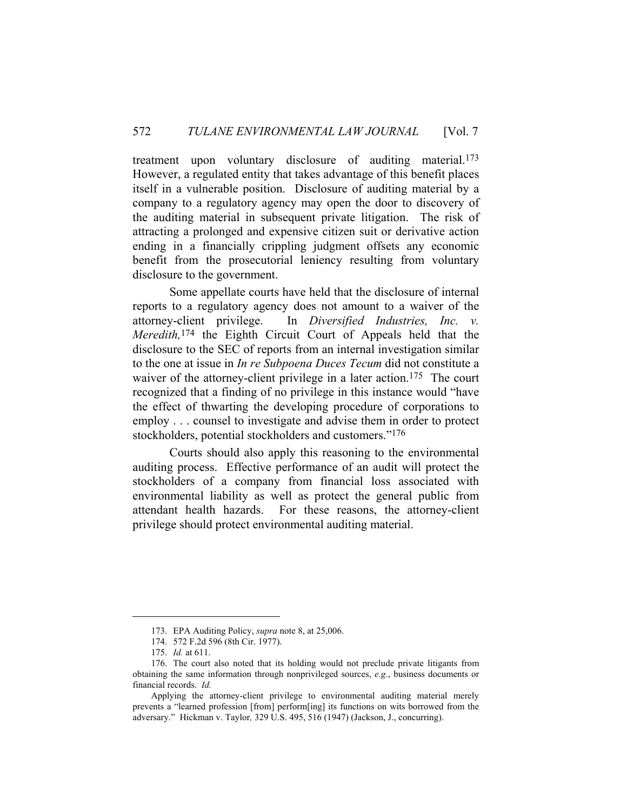treatment upon voluntary disclosure of auditing material.173 However, a regulated entity that takes advantage of this benefit places itself in a vulnerable position. Disclosure of auditing material by a company to a regulatory agency may open the door to discovery of the auditing material in subsequent private litigation. The risk of attracting a prolonged and expensive citizen suit or derivative action ending in a financially crippling judgment offsets any economic benefit from the prosecutorial leniency resulting from voluntary disclosure to the government.

 Some appellate courts have held that the disclosure of internal reports to a regulatory agency does not amount to a waiver of the attorney-client privilege. In *Diversified Industries, Inc. v. Meredith,*174 the Eighth Circuit Court of Appeals held that the disclosure to the SEC of reports from an internal investigation similar to the one at issue in *In re Subpoena Duces Tecum* did not constitute a waiver of the attorney-client privilege in a later action.<sup>175</sup> The court recognized that a finding of no privilege in this instance would "have the effect of thwarting the developing procedure of corporations to employ . . . counsel to investigate and advise them in order to protect stockholders, potential stockholders and customers."176

 Courts should also apply this reasoning to the environmental auditing process. Effective performance of an audit will protect the stockholders of a company from financial loss associated with environmental liability as well as protect the general public from attendant health hazards. For these reasons, the attorney-client privilege should protect environmental auditing material.

 <sup>173.</sup> EPA Auditing Policy, *supra* note 8, at 25,006.

 <sup>174. 572</sup> F.2d 596 (8th Cir. 1977).

 <sup>175.</sup> *Id.* at 611.

 <sup>176.</sup> The court also noted that its holding would not preclude private litigants from obtaining the same information through nonprivileged sources, *e.g.*, business documents or financial records. *Id.* 

Applying the attorney-client privilege to environmental auditing material merely prevents a "learned profession [from] perform[ing] its functions on wits borrowed from the adversary." Hickman v. Taylor*,* 329 U.S. 495, 516 (1947) (Jackson, J., concurring).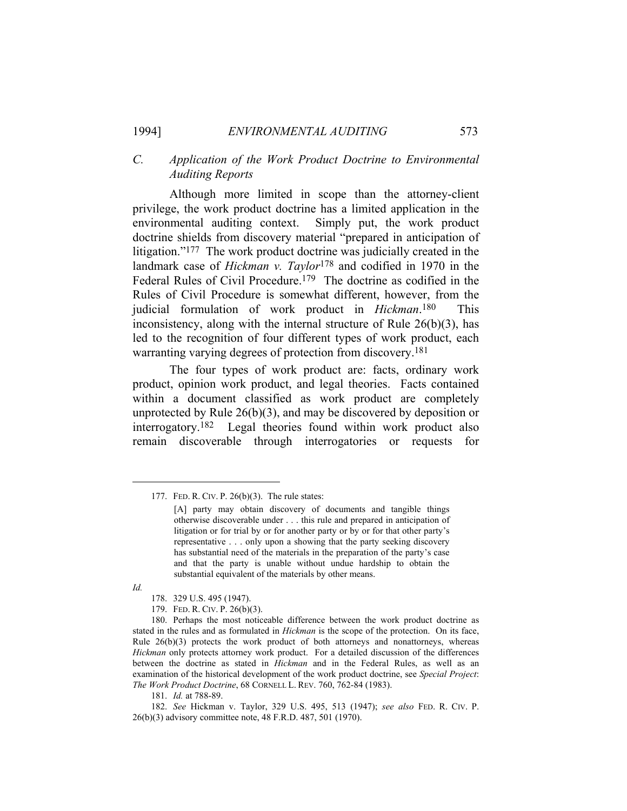#### *C. Application of the Work Product Doctrine to Environmental Auditing Reports*

 Although more limited in scope than the attorney-client privilege, the work product doctrine has a limited application in the environmental auditing context. Simply put, the work product doctrine shields from discovery material "prepared in anticipation of litigation."177 The work product doctrine was judicially created in the landmark case of *Hickman v. Taylor*178 and codified in 1970 in the Federal Rules of Civil Procedure.179 The doctrine as codified in the Rules of Civil Procedure is somewhat different, however, from the judicial formulation of work product in *Hickman*.180 This inconsistency, along with the internal structure of Rule 26(b)(3), has led to the recognition of four different types of work product, each warranting varying degrees of protection from discovery.181

 The four types of work product are: facts, ordinary work product, opinion work product, and legal theories. Facts contained within a document classified as work product are completely unprotected by Rule  $26(b)(3)$ , and may be discovered by deposition or interrogatory.182 Legal theories found within work product also remain discoverable through interrogatories or requests for

*Id.*

181. *Id.* at 788-89.

 <sup>177.</sup> FED. R. CIV. P. 26(b)(3). The rule states:

<sup>[</sup>A] party may obtain discovery of documents and tangible things otherwise discoverable under . . . this rule and prepared in anticipation of litigation or for trial by or for another party or by or for that other party's representative . . . only upon a showing that the party seeking discovery has substantial need of the materials in the preparation of the party's case and that the party is unable without undue hardship to obtain the substantial equivalent of the materials by other means.

 <sup>178. 329</sup> U.S. 495 (1947).

 <sup>179.</sup> FED. R. CIV. P. 26(b)(3).

 <sup>180.</sup> Perhaps the most noticeable difference between the work product doctrine as stated in the rules and as formulated in *Hickman* is the scope of the protection. On its face, Rule  $26(b)(3)$  protects the work product of both attorneys and nonattorneys, whereas *Hickman* only protects attorney work product. For a detailed discussion of the differences between the doctrine as stated in *Hickman* and in the Federal Rules, as well as an examination of the historical development of the work product doctrine, see *Special Project*: *The Work Product Doctrine*, 68 CORNELL L. REV. 760, 762-84 (1983).

 <sup>182.</sup> *See* Hickman v. Taylor, 329 U.S. 495, 513 (1947); *see also* FED. R. CIV. P. 26(b)(3) advisory committee note, 48 F.R.D. 487, 501 (1970).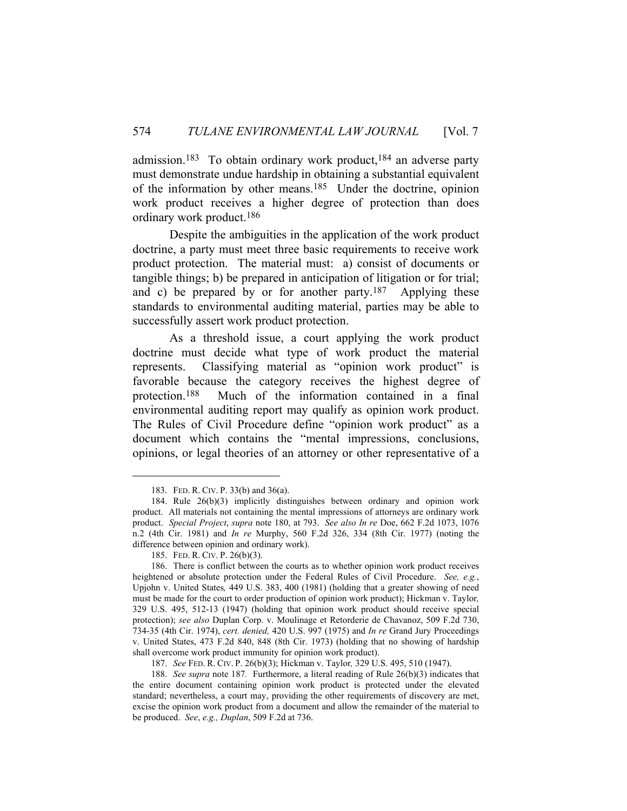admission.<sup>183</sup> To obtain ordinary work product,<sup>184</sup> an adverse party must demonstrate undue hardship in obtaining a substantial equivalent of the information by other means.185 Under the doctrine, opinion work product receives a higher degree of protection than does ordinary work product.186

 Despite the ambiguities in the application of the work product doctrine, a party must meet three basic requirements to receive work product protection. The material must: a) consist of documents or tangible things; b) be prepared in anticipation of litigation or for trial; and c) be prepared by or for another party.<sup>187</sup> Applying these standards to environmental auditing material, parties may be able to successfully assert work product protection.

 As a threshold issue, a court applying the work product doctrine must decide what type of work product the material represents. Classifying material as "opinion work product" is favorable because the category receives the highest degree of protection.188 Much of the information contained in a final environmental auditing report may qualify as opinion work product. The Rules of Civil Procedure define "opinion work product" as a document which contains the "mental impressions, conclusions, opinions, or legal theories of an attorney or other representative of a

 <sup>183.</sup> FED. R. CIV. P. 33(b) and 36(a).

 <sup>184.</sup> Rule 26(b)(3) implicitly distinguishes between ordinary and opinion work product. All materials not containing the mental impressions of attorneys are ordinary work product. *Special Project*, *supra* note 180, at 793. *See also In re* Doe, 662 F.2d 1073, 1076 n.2 (4th Cir. 1981) and *In re* Murphy, 560 F.2d 326, 334 (8th Cir. 1977) (noting the difference between opinion and ordinary work).

 <sup>185.</sup> FED. R. CIV. P. 26(b)(3).

 <sup>186.</sup> There is conflict between the courts as to whether opinion work product receives heightened or absolute protection under the Federal Rules of Civil Procedure. *See, e.g.*, Upjohn v. United States*,* 449 U.S. 383, 400 (1981) (holding that a greater showing of need must be made for the court to order production of opinion work product); Hickman v. Taylor*,*  329 U.S. 495, 512-13 (1947) (holding that opinion work product should receive special protection); *see also* Duplan Corp. v. Moulinage et Retorderie de Chavanoz, 509 F.2d 730, 734-35 (4th Cir. 1974), *cert. denied,* 420 U.S. 997 (1975) and *In re* Grand Jury Proceedings v. United States, 473 F.2d 840, 848 (8th Cir. 1973) (holding that no showing of hardship shall overcome work product immunity for opinion work product).

 <sup>187.</sup> *See* FED. R. CIV. P. 26(b)(3); Hickman v. Taylor*,* 329 U.S. 495, 510 (1947).

 <sup>188.</sup> *See supra* note 187*.* Furthermore, a literal reading of Rule 26(b)(3) indicates that the entire document containing opinion work product is protected under the elevated standard; nevertheless, a court may, providing the other requirements of discovery are met, excise the opinion work product from a document and allow the remainder of the material to be produced. *See*, *e.g., Duplan*, 509 F.2d at 736.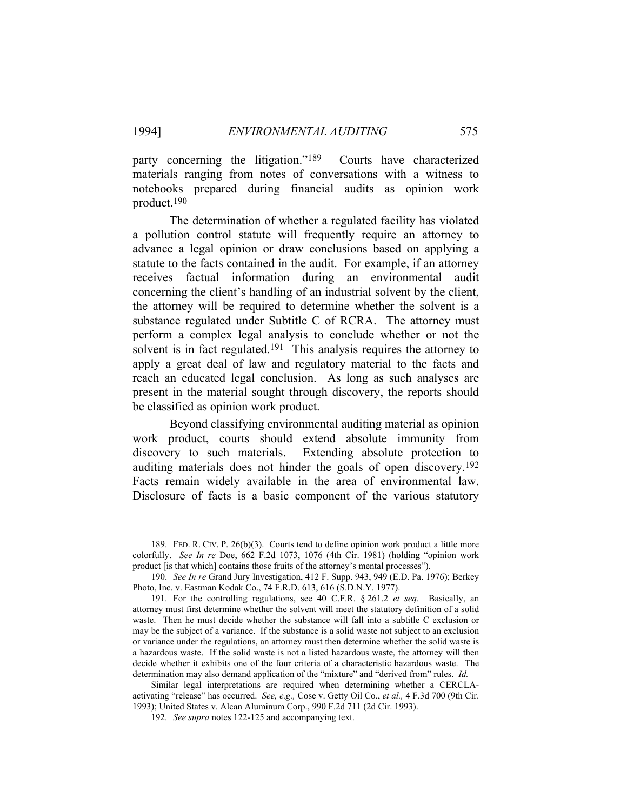party concerning the litigation."189 Courts have characterized materials ranging from notes of conversations with a witness to notebooks prepared during financial audits as opinion work product.190

 The determination of whether a regulated facility has violated a pollution control statute will frequently require an attorney to advance a legal opinion or draw conclusions based on applying a statute to the facts contained in the audit. For example, if an attorney receives factual information during an environmental audit concerning the client's handling of an industrial solvent by the client, the attorney will be required to determine whether the solvent is a substance regulated under Subtitle C of RCRA. The attorney must perform a complex legal analysis to conclude whether or not the solvent is in fact regulated.<sup>191</sup> This analysis requires the attorney to apply a great deal of law and regulatory material to the facts and reach an educated legal conclusion. As long as such analyses are present in the material sought through discovery, the reports should be classified as opinion work product.

 Beyond classifying environmental auditing material as opinion work product, courts should extend absolute immunity from discovery to such materials. Extending absolute protection to auditing materials does not hinder the goals of open discovery.192 Facts remain widely available in the area of environmental law. Disclosure of facts is a basic component of the various statutory

 <sup>189.</sup> FED. R. CIV. P. 26(b)(3). Courts tend to define opinion work product a little more colorfully. *See In re* Doe, 662 F.2d 1073, 1076 (4th Cir. 1981) (holding "opinion work product [is that which] contains those fruits of the attorney's mental processes").

 <sup>190.</sup> *See In re* Grand Jury Investigation, 412 F. Supp. 943, 949 (E.D. Pa. 1976); Berkey Photo, Inc. v. Eastman Kodak Co., 74 F.R.D. 613, 616 (S.D.N.Y. 1977).

 <sup>191.</sup> For the controlling regulations, see 40 C.F.R. § 261.2 *et seq.* Basically, an attorney must first determine whether the solvent will meet the statutory definition of a solid waste. Then he must decide whether the substance will fall into a subtitle C exclusion or may be the subject of a variance. If the substance is a solid waste not subject to an exclusion or variance under the regulations, an attorney must then determine whether the solid waste is a hazardous waste. If the solid waste is not a listed hazardous waste, the attorney will then decide whether it exhibits one of the four criteria of a characteristic hazardous waste. The determination may also demand application of the "mixture" and "derived from" rules. *Id.*

Similar legal interpretations are required when determining whether a CERCLAactivating "release" has occurred. *See, e.g.,* Cose v. Getty Oil Co., *et al.,* 4 F.3d 700 (9th Cir. 1993); United States v. Alcan Aluminum Corp., 990 F.2d 711 (2d Cir. 1993).

 <sup>192.</sup> *See supra* notes 122-125 and accompanying text.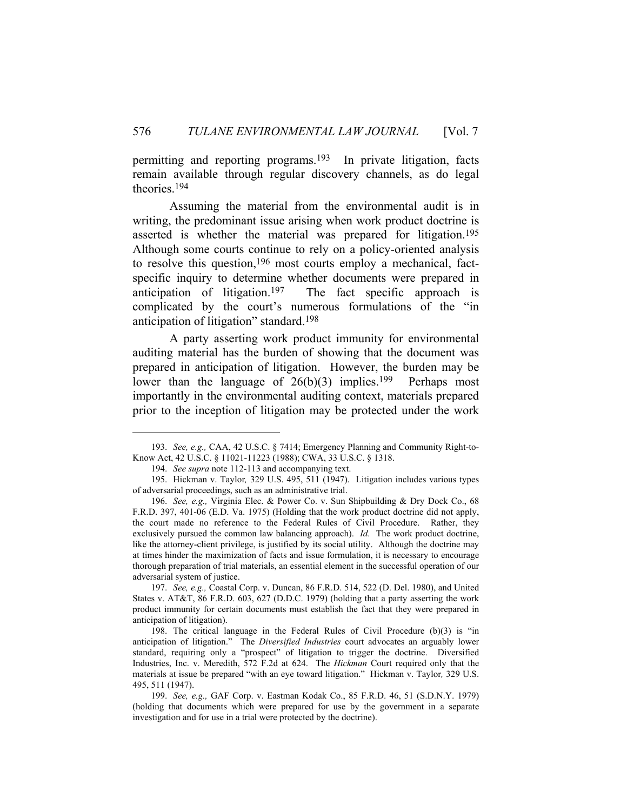permitting and reporting programs.193 In private litigation, facts remain available through regular discovery channels, as do legal theories.194

 Assuming the material from the environmental audit is in writing, the predominant issue arising when work product doctrine is asserted is whether the material was prepared for litigation.<sup>195</sup> Although some courts continue to rely on a policy-oriented analysis to resolve this question,196 most courts employ a mechanical, factspecific inquiry to determine whether documents were prepared in anticipation of litigation.<sup>197</sup> The fact specific approach is complicated by the court's numerous formulations of the "in anticipation of litigation" standard.198

 A party asserting work product immunity for environmental auditing material has the burden of showing that the document was prepared in anticipation of litigation. However, the burden may be lower than the language of  $26(b)(3)$  implies.<sup>199</sup> Perhaps most importantly in the environmental auditing context, materials prepared prior to the inception of litigation may be protected under the work

 <sup>193.</sup> *See, e.g.,* CAA, 42 U.S.C. § 7414; Emergency Planning and Community Right-to-Know Act, 42 U.S.C. § 11021-11223 (1988); CWA, 33 U.S.C. § 1318.

 <sup>194.</sup> *See supra* note 112-113 and accompanying text.

 <sup>195.</sup> Hickman v. Taylor*,* 329 U.S. 495, 511 (1947). Litigation includes various types of adversarial proceedings, such as an administrative trial.

 <sup>196.</sup> *See, e.g.,* Virginia Elec. & Power Co. v. Sun Shipbuilding & Dry Dock Co., 68 F.R.D. 397, 401-06 (E.D. Va. 1975) (Holding that the work product doctrine did not apply, the court made no reference to the Federal Rules of Civil Procedure. Rather, they exclusively pursued the common law balancing approach). *Id.* The work product doctrine, like the attorney-client privilege, is justified by its social utility. Although the doctrine may at times hinder the maximization of facts and issue formulation, it is necessary to encourage thorough preparation of trial materials, an essential element in the successful operation of our adversarial system of justice.

 <sup>197.</sup> *See, e.g.,* Coastal Corp. v. Duncan, 86 F.R.D. 514, 522 (D. Del. 1980), and United States v. AT&T, 86 F.R.D. 603, 627 (D.D.C. 1979) (holding that a party asserting the work product immunity for certain documents must establish the fact that they were prepared in anticipation of litigation).

 <sup>198.</sup> The critical language in the Federal Rules of Civil Procedure (b)(3) is "in anticipation of litigation." The *Diversified Industries* court advocates an arguably lower standard, requiring only a "prospect" of litigation to trigger the doctrine.Diversified Industries, Inc. v. Meredith, 572 F.2d at 624. The *Hickman* Court required only that the materials at issue be prepared "with an eye toward litigation." Hickman v. Taylor*,* 329 U.S. 495, 511 (1947).

 <sup>199.</sup> *See, e.g.,* GAF Corp. v. Eastman Kodak Co., 85 F.R.D. 46, 51 (S.D.N.Y. 1979) (holding that documents which were prepared for use by the government in a separate investigation and for use in a trial were protected by the doctrine).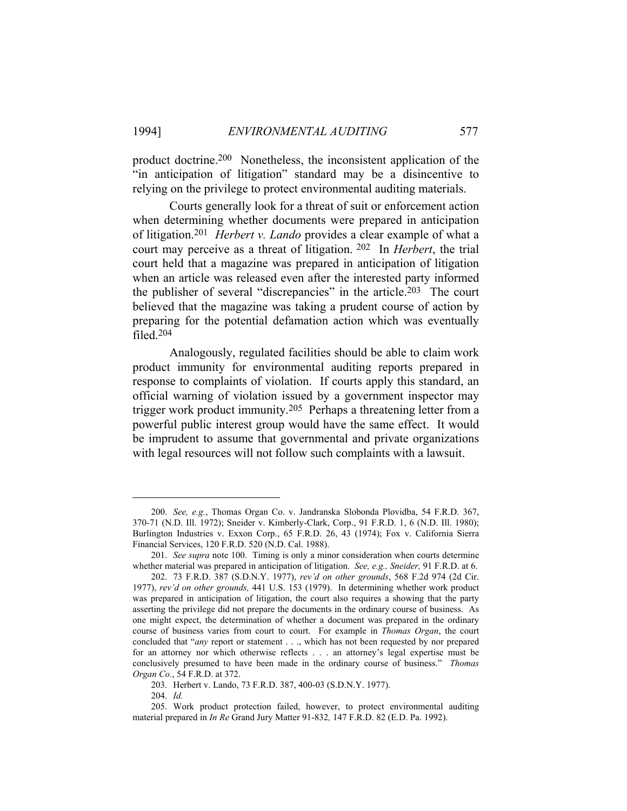product doctrine.200 Nonetheless, the inconsistent application of the "in anticipation of litigation" standard may be a disincentive to relying on the privilege to protect environmental auditing materials.

 Courts generally look for a threat of suit or enforcement action when determining whether documents were prepared in anticipation of litigation.201 *Herbert v. Lando* provides a clear example of what a court may perceive as a threat of litigation. 202 In *Herbert*, the trial court held that a magazine was prepared in anticipation of litigation when an article was released even after the interested party informed the publisher of several "discrepancies" in the article.<sup>203</sup> The court believed that the magazine was taking a prudent course of action by preparing for the potential defamation action which was eventually filed.204

 Analogously, regulated facilities should be able to claim work product immunity for environmental auditing reports prepared in response to complaints of violation. If courts apply this standard, an official warning of violation issued by a government inspector may trigger work product immunity.205 Perhaps a threatening letter from a powerful public interest group would have the same effect. It would be imprudent to assume that governmental and private organizations with legal resources will not follow such complaints with a lawsuit.

 <sup>200.</sup> *See, e.g.*, Thomas Organ Co. v. Jandranska Slobonda Plovidba, 54 F.R.D. 367, 370-71 (N.D. Ill. 1972); Sneider v. Kimberly-Clark, Corp., 91 F.R.D. 1, 6 (N.D. Ill. 1980); Burlington Industries v. Exxon Corp., 65 F.R.D. 26, 43 (1974); Fox v. California Sierra Financial Services, 120 F.R.D. 520 (N.D. Cal. 1988).

 <sup>201.</sup> *See supra* note 100. Timing is only a minor consideration when courts determine whether material was prepared in anticipation of litigation. *See, e.g., Sneider,* 91 F.R.D. at 6.

 <sup>202. 73</sup> F.R.D. 387 (S.D.N.Y. 1977), *rev'd on other grounds*, 568 F.2d 974 (2d Cir. 1977), *rev'd on other grounds,* 441 U.S. 153 (1979). In determining whether work product was prepared in anticipation of litigation, the court also requires a showing that the party asserting the privilege did not prepare the documents in the ordinary course of business. As one might expect, the determination of whether a document was prepared in the ordinary course of business varies from court to court. For example in *Thomas Organ*, the court concluded that "*any* report or statement . . ., which has not been requested by nor prepared for an attorney nor which otherwise reflects . . . an attorney's legal expertise must be conclusively presumed to have been made in the ordinary course of business." *Thomas Organ Co.*, 54 F.R.D. at 372.

 <sup>203.</sup> Herbert v. Lando, 73 F.R.D. 387, 400-03 (S.D.N.Y. 1977).

 <sup>204.</sup> *Id.*

 <sup>205.</sup> Work product protection failed, however, to protect environmental auditing material prepared in *In Re* Grand Jury Matter 91-832*,* 147 F.R.D. 82 (E.D. Pa. 1992).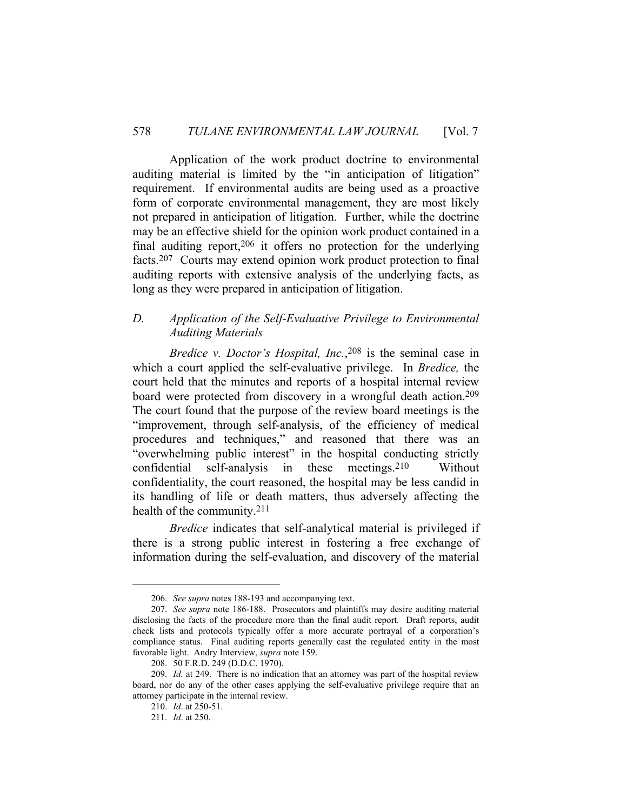Application of the work product doctrine to environmental auditing material is limited by the "in anticipation of litigation" requirement. If environmental audits are being used as a proactive form of corporate environmental management, they are most likely not prepared in anticipation of litigation. Further, while the doctrine may be an effective shield for the opinion work product contained in a final auditing report,  $206$  it offers no protection for the underlying facts.207 Courts may extend opinion work product protection to final auditing reports with extensive analysis of the underlying facts, as long as they were prepared in anticipation of litigation.

#### *D. Application of the Self-Evaluative Privilege to Environmental Auditing Materials*

*Bredice v. Doctor's Hospital, Inc.*,<sup>208</sup> is the seminal case in which a court applied the self-evaluative privilege. In *Bredice,* the court held that the minutes and reports of a hospital internal review board were protected from discovery in a wrongful death action.209 The court found that the purpose of the review board meetings is the "improvement, through self-analysis, of the efficiency of medical procedures and techniques," and reasoned that there was an "overwhelming public interest" in the hospital conducting strictly confidential self-analysis in these meetings.210 Without confidentiality, the court reasoned, the hospital may be less candid in its handling of life or death matters, thus adversely affecting the health of the community.211

*Bredice* indicates that self-analytical material is privileged if there is a strong public interest in fostering a free exchange of information during the self-evaluation, and discovery of the material

 <sup>206.</sup> *See supra* notes 188-193 and accompanying text.

 <sup>207.</sup> *See supra* note 186-188. Prosecutors and plaintiffs may desire auditing material disclosing the facts of the procedure more than the final audit report. Draft reports, audit check lists and protocols typically offer a more accurate portrayal of a corporation's compliance status. Final auditing reports generally cast the regulated entity in the most favorable light. Andry Interview, *supra* note 159.

 <sup>208. 50</sup> F.R.D. 249 (D.D.C. 1970).

 <sup>209.</sup> *Id.* at 249. There is no indication that an attorney was part of the hospital review board, nor do any of the other cases applying the self-evaluative privilege require that an attorney participate in the internal review.

 <sup>210.</sup> *Id*. at 250-51.

 <sup>211.</sup> *Id*. at 250.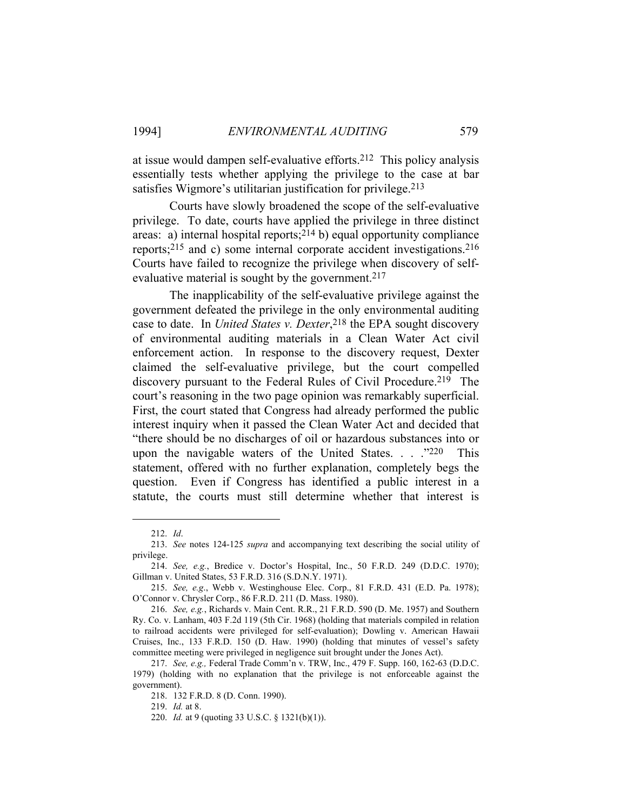at issue would dampen self-evaluative efforts.212 This policy analysis essentially tests whether applying the privilege to the case at bar satisfies Wigmore's utilitarian justification for privilege.<sup>213</sup>

 Courts have slowly broadened the scope of the self-evaluative privilege. To date, courts have applied the privilege in three distinct areas: a) internal hospital reports;  $2^{14}$  b) equal opportunity compliance reports;215 and c) some internal corporate accident investigations.216 Courts have failed to recognize the privilege when discovery of selfevaluative material is sought by the government.<sup>217</sup>

 The inapplicability of the self-evaluative privilege against the government defeated the privilege in the only environmental auditing case to date. In *United States v. Dexter*, 218 the EPA sought discovery of environmental auditing materials in a Clean Water Act civil enforcement action. In response to the discovery request, Dexter claimed the self-evaluative privilege, but the court compelled discovery pursuant to the Federal Rules of Civil Procedure.219 The court's reasoning in the two page opinion was remarkably superficial. First, the court stated that Congress had already performed the public interest inquiry when it passed the Clean Water Act and decided that "there should be no discharges of oil or hazardous substances into or upon the navigable waters of the United States. . . . . "220 This statement, offered with no further explanation, completely begs the question. Even if Congress has identified a public interest in a statute, the courts must still determine whether that interest is

219. *Id.* at 8.

 <sup>212.</sup> *Id*.

 <sup>213.</sup> *See* notes 124-125 *supra* and accompanying text describing the social utility of privilege.

 <sup>214.</sup> *See, e.g.*, Bredice v. Doctor's Hospital, Inc., 50 F.R.D. 249 (D.D.C. 1970); Gillman v. United States, 53 F.R.D. 316 (S.D.N.Y. 1971).

 <sup>215.</sup> *See, e.g*., Webb v. Westinghouse Elec. Corp., 81 F.R.D. 431 (E.D. Pa. 1978); O'Connor v. Chrysler Corp., 86 F.R.D. 211 (D. Mass. 1980).

 <sup>216.</sup> *See, e.g.*, Richards v. Main Cent. R.R., 21 F.R.D. 590 (D. Me. 1957) and Southern Ry. Co. v. Lanham, 403 F.2d 119 (5th Cir. 1968) (holding that materials compiled in relation to railroad accidents were privileged for self-evaluation); Dowling v. American Hawaii Cruises, Inc., 133 F.R.D. 150 (D. Haw. 1990) (holding that minutes of vessel's safety committee meeting were privileged in negligence suit brought under the Jones Act).

 <sup>217.</sup> *See, e.g.,* Federal Trade Comm'n v. TRW, Inc., 479 F. Supp. 160, 162-63 (D.D.C. 1979) (holding with no explanation that the privilege is not enforceable against the government).

 <sup>218. 132</sup> F.R.D. 8 (D. Conn. 1990).

 <sup>220.</sup> *Id.* at 9 (quoting 33 U.S.C. § 1321(b)(1)).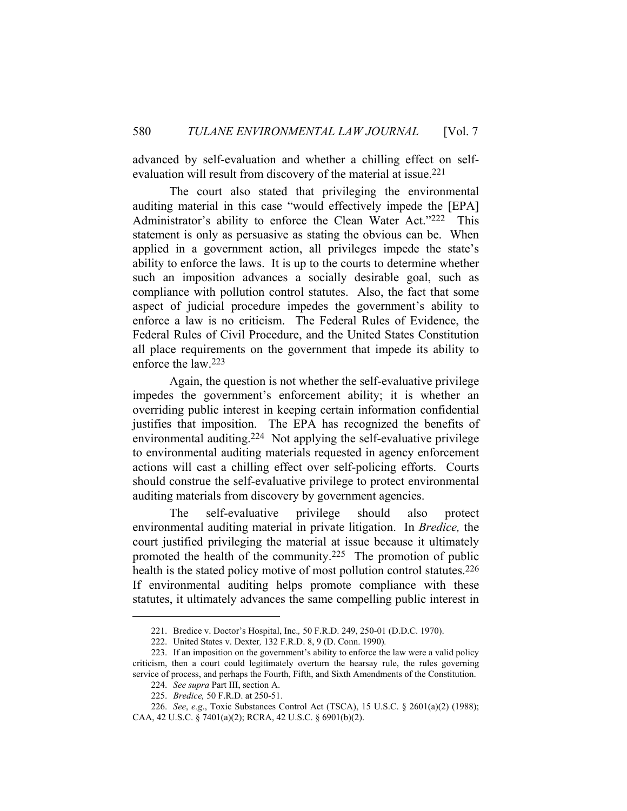advanced by self-evaluation and whether a chilling effect on selfevaluation will result from discovery of the material at issue.<sup>221</sup>

 The court also stated that privileging the environmental auditing material in this case "would effectively impede the [EPA] Administrator's ability to enforce the Clean Water Act."222 This statement is only as persuasive as stating the obvious can be. When applied in a government action, all privileges impede the state's ability to enforce the laws. It is up to the courts to determine whether such an imposition advances a socially desirable goal, such as compliance with pollution control statutes. Also, the fact that some aspect of judicial procedure impedes the government's ability to enforce a law is no criticism. The Federal Rules of Evidence, the Federal Rules of Civil Procedure, and the United States Constitution all place requirements on the government that impede its ability to enforce the law.223

 Again, the question is not whether the self-evaluative privilege impedes the government's enforcement ability; it is whether an overriding public interest in keeping certain information confidential justifies that imposition. The EPA has recognized the benefits of environmental auditing.224 Not applying the self-evaluative privilege to environmental auditing materials requested in agency enforcement actions will cast a chilling effect over self-policing efforts. Courts should construe the self-evaluative privilege to protect environmental auditing materials from discovery by government agencies.

 The self-evaluative privilege should also protect environmental auditing material in private litigation. In *Bredice,* the court justified privileging the material at issue because it ultimately promoted the health of the community.225 The promotion of public health is the stated policy motive of most pollution control statutes.<sup>226</sup> If environmental auditing helps promote compliance with these statutes, it ultimately advances the same compelling public interest in

 <sup>221.</sup> Bredice v. Doctor's Hospital, Inc.*,* 50 F.R.D. 249, 250-01 (D.D.C. 1970).

 <sup>222.</sup> United States v. Dexter*,* 132 F.R.D. 8, 9 (D. Conn. 1990)*.*

 <sup>223.</sup> If an imposition on the government's ability to enforce the law were a valid policy criticism, then a court could legitimately overturn the hearsay rule, the rules governing service of process, and perhaps the Fourth, Fifth, and Sixth Amendments of the Constitution.

 <sup>224.</sup> *See supra* Part III, section A. 225. *Bredice,* 50 F.R.D. at 250-51.

 <sup>226.</sup> *See*, *e.g*., Toxic Substances Control Act (TSCA), 15 U.S.C. § 2601(a)(2) (1988); CAA, 42 U.S.C. § 7401(a)(2); RCRA, 42 U.S.C. § 6901(b)(2).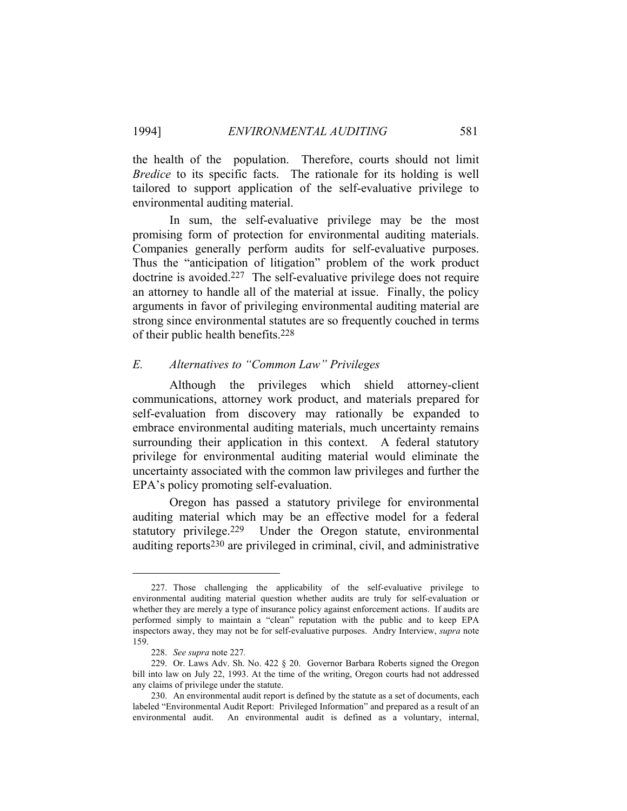the health of the population. Therefore, courts should not limit *Bredice* to its specific facts. The rationale for its holding is well tailored to support application of the self-evaluative privilege to environmental auditing material.

 In sum, the self-evaluative privilege may be the most promising form of protection for environmental auditing materials. Companies generally perform audits for self-evaluative purposes. Thus the "anticipation of litigation" problem of the work product doctrine is avoided.227 The self-evaluative privilege does not require an attorney to handle all of the material at issue. Finally, the policy arguments in favor of privileging environmental auditing material are strong since environmental statutes are so frequently couched in terms of their public health benefits.228

#### *E. Alternatives to "Common Law" Privileges*

 Although the privileges which shield attorney-client communications, attorney work product, and materials prepared for self-evaluation from discovery may rationally be expanded to embrace environmental auditing materials, much uncertainty remains surrounding their application in this context. A federal statutory privilege for environmental auditing material would eliminate the uncertainty associated with the common law privileges and further the EPA's policy promoting self-evaluation.

 Oregon has passed a statutory privilege for environmental auditing material which may be an effective model for a federal statutory privilege.229 Under the Oregon statute, environmental auditing reports230 are privileged in criminal, civil, and administrative

 <sup>227.</sup> Those challenging the applicability of the self-evaluative privilege to environmental auditing material question whether audits are truly for self-evaluation or whether they are merely a type of insurance policy against enforcement actions. If audits are performed simply to maintain a "clean" reputation with the public and to keep EPA inspectors away, they may not be for self-evaluative purposes. Andry Interview, *supra* note 159.

 <sup>228.</sup> *See supra* note 227*.*

 <sup>229.</sup> Or. Laws Adv. Sh. No. 422 § 20. Governor Barbara Roberts signed the Oregon bill into law on July 22, 1993. At the time of the writing, Oregon courts had not addressed any claims of privilege under the statute.

 <sup>230.</sup> An environmental audit report is defined by the statute as a set of documents, each labeled "Environmental Audit Report: Privileged Information" and prepared as a result of an environmental audit. An environmental audit is defined as a voluntary, internal,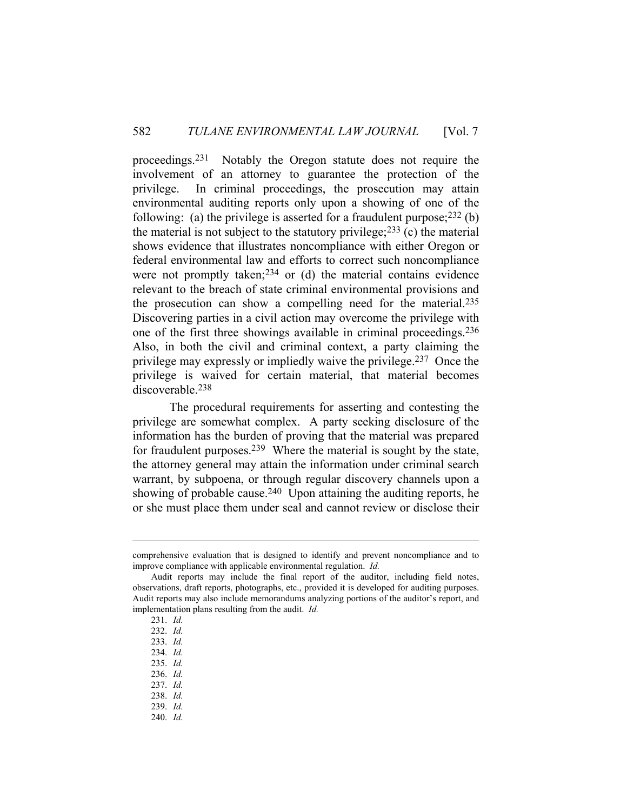proceedings.231 Notably the Oregon statute does not require the involvement of an attorney to guarantee the protection of the privilege. In criminal proceedings, the prosecution may attain environmental auditing reports only upon a showing of one of the following: (a) the privilege is asserted for a fraudulent purpose; $^{232}$  (b) the material is not subject to the statutory privilege;  $233$  (c) the material shows evidence that illustrates noncompliance with either Oregon or federal environmental law and efforts to correct such noncompliance were not promptly taken;<sup>234</sup> or (d) the material contains evidence relevant to the breach of state criminal environmental provisions and the prosecution can show a compelling need for the material.235 Discovering parties in a civil action may overcome the privilege with one of the first three showings available in criminal proceedings.236 Also, in both the civil and criminal context, a party claiming the privilege may expressly or impliedly waive the privilege.237 Once the privilege is waived for certain material, that material becomes discoverable.238

 The procedural requirements for asserting and contesting the privilege are somewhat complex. A party seeking disclosure of the information has the burden of proving that the material was prepared for fraudulent purposes.239 Where the material is sought by the state, the attorney general may attain the information under criminal search warrant, by subpoena, or through regular discovery channels upon a showing of probable cause.<sup>240</sup> Upon attaining the auditing reports, he or she must place them under seal and cannot review or disclose their

comprehensive evaluation that is designed to identify and prevent noncompliance and to improve compliance with applicable environmental regulation. *Id.* 

Audit reports may include the final report of the auditor, including field notes, observations, draft reports, photographs, etc., provided it is developed for auditing purposes. Audit reports may also include memorandums analyzing portions of the auditor's report, and implementation plans resulting from the audit. *Id.*

 <sup>231.</sup> *Id.*

 <sup>232.</sup> *Id.*

 <sup>233.</sup> *Id.* 

 <sup>234.</sup> *Id.*

 <sup>235.</sup> *Id.*

 <sup>236.</sup> *Id.*

 <sup>237.</sup> *Id.*

 <sup>238.</sup> *Id.*

 <sup>239.</sup> *Id.* 

 <sup>240.</sup> *Id.*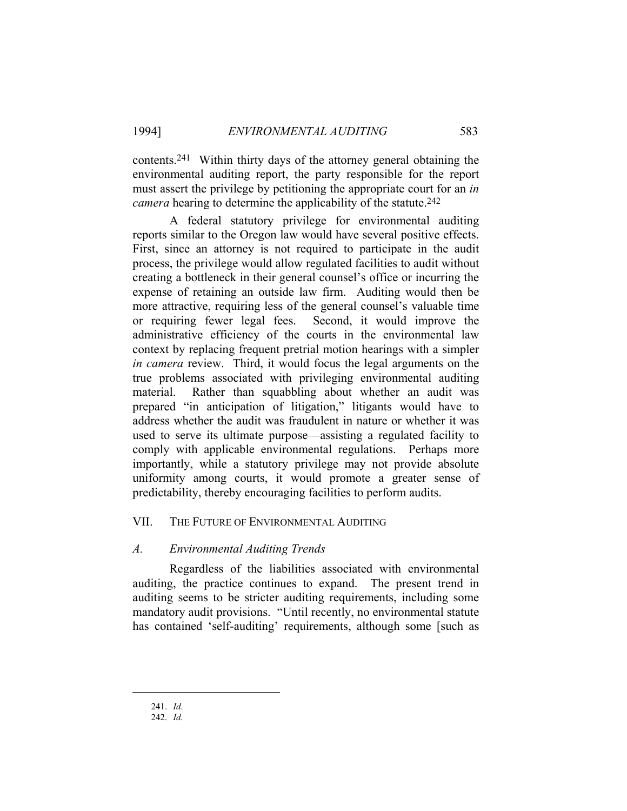contents.241 Within thirty days of the attorney general obtaining the environmental auditing report, the party responsible for the report must assert the privilege by petitioning the appropriate court for an *in camera* hearing to determine the applicability of the statute.242

 A federal statutory privilege for environmental auditing reports similar to the Oregon law would have several positive effects. First, since an attorney is not required to participate in the audit process, the privilege would allow regulated facilities to audit without creating a bottleneck in their general counsel's office or incurring the expense of retaining an outside law firm. Auditing would then be more attractive, requiring less of the general counsel's valuable time or requiring fewer legal fees. Second, it would improve the administrative efficiency of the courts in the environmental law context by replacing frequent pretrial motion hearings with a simpler *in camera* review. Third, it would focus the legal arguments on the true problems associated with privileging environmental auditing material. Rather than squabbling about whether an audit was prepared "in anticipation of litigation," litigants would have to address whether the audit was fraudulent in nature or whether it was used to serve its ultimate purpose—assisting a regulated facility to comply with applicable environmental regulations. Perhaps more importantly, while a statutory privilege may not provide absolute uniformity among courts, it would promote a greater sense of predictability, thereby encouraging facilities to perform audits.

#### VII. THE FUTURE OF ENVIRONMENTAL AUDITING

#### *A. Environmental Auditing Trends*

 Regardless of the liabilities associated with environmental auditing, the practice continues to expand. The present trend in auditing seems to be stricter auditing requirements, including some mandatory audit provisions. "Until recently, no environmental statute has contained 'self-auditing' requirements, although some [such as

241. *Id.*

 <sup>242.</sup> *Id.*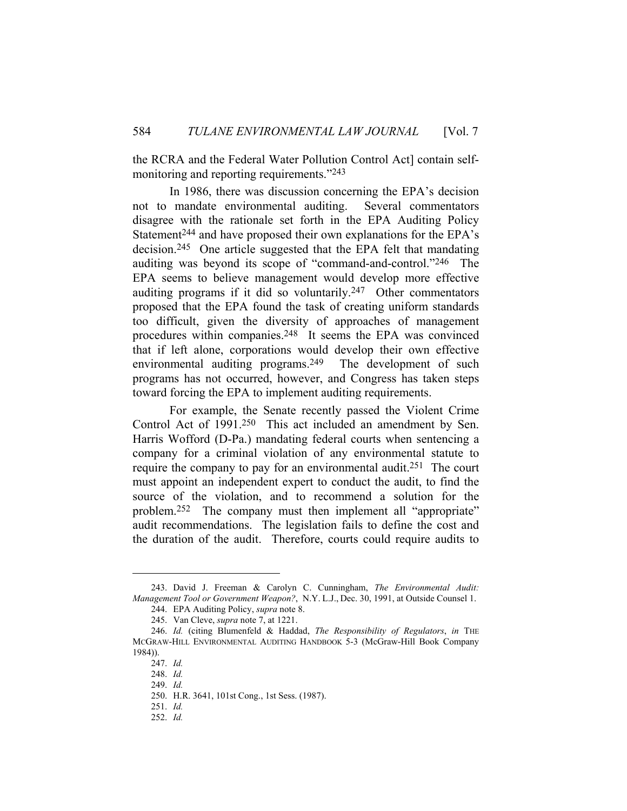the RCRA and the Federal Water Pollution Control Act] contain selfmonitoring and reporting requirements."243

 In 1986, there was discussion concerning the EPA's decision not to mandate environmental auditing. Several commentators disagree with the rationale set forth in the EPA Auditing Policy Statement<sup>244</sup> and have proposed their own explanations for the EPA's decision.245 One article suggested that the EPA felt that mandating auditing was beyond its scope of "command-and-control."246 The EPA seems to believe management would develop more effective auditing programs if it did so voluntarily.247 Other commentators proposed that the EPA found the task of creating uniform standards too difficult, given the diversity of approaches of management procedures within companies.248 It seems the EPA was convinced that if left alone, corporations would develop their own effective environmental auditing programs.<sup>249</sup> The development of such programs has not occurred, however, and Congress has taken steps toward forcing the EPA to implement auditing requirements.

 For example, the Senate recently passed the Violent Crime Control Act of 1991.250 This act included an amendment by Sen. Harris Wofford (D-Pa.) mandating federal courts when sentencing a company for a criminal violation of any environmental statute to require the company to pay for an environmental audit.251 The court must appoint an independent expert to conduct the audit, to find the source of the violation, and to recommend a solution for the problem.252 The company must then implement all "appropriate" audit recommendations. The legislation fails to define the cost and the duration of the audit. Therefore, courts could require audits to

 <sup>243.</sup> David J. Freeman & Carolyn C. Cunningham, *The Environmental Audit: Management Tool or Government Weapon?*, N.Y. L.J., Dec. 30, 1991, at Outside Counsel 1.

 <sup>244.</sup> EPA Auditing Policy, *supra* note 8.

 <sup>245.</sup> Van Cleve, *supra* note 7, at 1221.

 <sup>246.</sup> *Id.* (citing Blumenfeld & Haddad, *The Responsibility of Regulators*, *in* THE MCGRAW-HILL ENVIRONMENTAL AUDITING HANDBOOK 5-3 (McGraw-Hill Book Company 1984)).

 <sup>247.</sup> *Id.*

 <sup>248.</sup> *Id.*

 <sup>249.</sup> *Id.*

 <sup>250.</sup> H.R. 3641, 101st Cong., 1st Sess. (1987).

 <sup>251.</sup> *Id.*

 <sup>252.</sup> *Id.*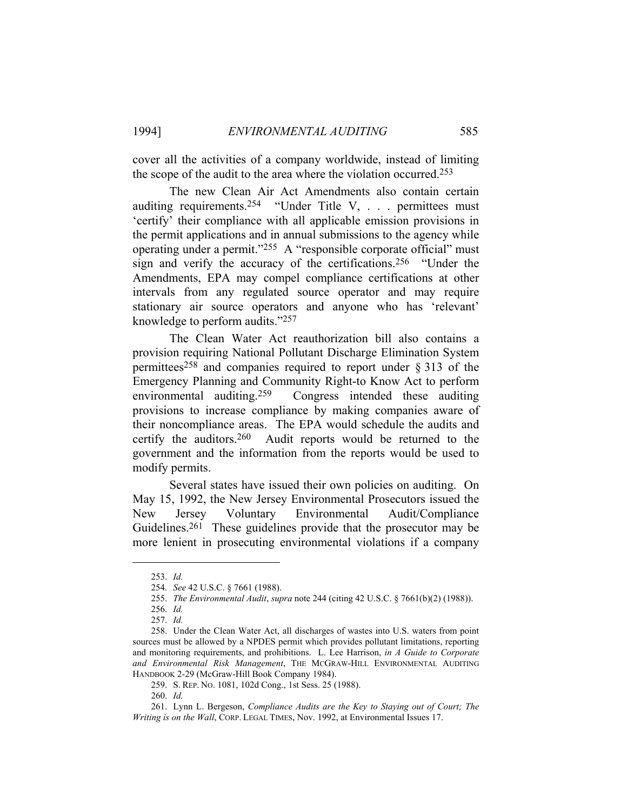cover all the activities of a company worldwide, instead of limiting the scope of the audit to the area where the violation occurred.253

 The new Clean Air Act Amendments also contain certain auditing requirements.<sup>254</sup> "Under Title V, . . . permittees must 'certify' their compliance with all applicable emission provisions in the permit applications and in annual submissions to the agency while operating under a permit."255 A "responsible corporate official" must sign and verify the accuracy of the certifications.256 "Under the Amendments, EPA may compel compliance certifications at other intervals from any regulated source operator and may require stationary air source operators and anyone who has 'relevant' knowledge to perform audits."257

 The Clean Water Act reauthorization bill also contains a provision requiring National Pollutant Discharge Elimination System permittees<sup>258</sup> and companies required to report under  $\S 313$  of the Emergency Planning and Community Right-to Know Act to perform environmental auditing.259 Congress intended these auditing provisions to increase compliance by making companies aware of their noncompliance areas. The EPA would schedule the audits and certify the auditors.260 Audit reports would be returned to the government and the information from the reports would be used to modify permits.

 Several states have issued their own policies on auditing. On May 15, 1992, the New Jersey Environmental Prosecutors issued the New Jersey Voluntary Environmental Audit/Compliance Guidelines.261 These guidelines provide that the prosecutor may be more lenient in prosecuting environmental violations if a company

 <sup>253.</sup> *Id.*

 <sup>254.</sup> *See* 42 U.S.C. § 7661 (1988).

 <sup>255.</sup> *The Environmental Audit*, *supra* note 244 (citing 42 U.S.C. § 7661(b)(2) (1988)).

 <sup>256.</sup> *Id.*

 <sup>257.</sup> *Id.*

 <sup>258.</sup> Under the Clean Water Act, all discharges of wastes into U.S. waters from point sources must be allowed by a NPDES permit which provides pollutant limitations, reporting and monitoring requirements, and prohibitions. L. Lee Harrison, *in A Guide to Corporate and Environmental Risk Management*, THE MCGRAW-HILL ENVIRONMENTAL AUDITING HANDBOOK 2-29 (McGraw-Hill Book Company 1984).

 <sup>259.</sup> S. REP. NO. 1081, 102d Cong., 1st Sess. 25 (1988).

 <sup>260.</sup> *Id.*

 <sup>261.</sup> Lynn L. Bergeson, *Compliance Audits are the Key to Staying out of Court; The Writing is on the Wall*, CORP. LEGAL TIMES, Nov. 1992, at Environmental Issues 17.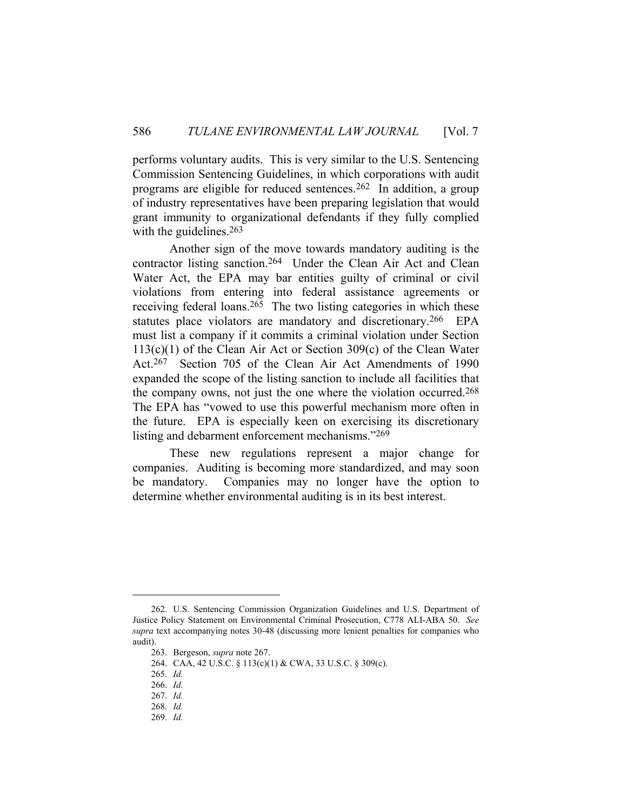performs voluntary audits. This is very similar to the U.S. Sentencing Commission Sentencing Guidelines, in which corporations with audit programs are eligible for reduced sentences.262 In addition, a group of industry representatives have been preparing legislation that would grant immunity to organizational defendants if they fully complied with the guidelines.<sup>263</sup>

 Another sign of the move towards mandatory auditing is the contractor listing sanction.264 Under the Clean Air Act and Clean Water Act, the EPA may bar entities guilty of criminal or civil violations from entering into federal assistance agreements or receiving federal loans.<sup>265</sup> The two listing categories in which these statutes place violators are mandatory and discretionary.266 EPA must list a company if it commits a criminal violation under Section 113(c)(1) of the Clean Air Act or Section 309(c) of the Clean Water Act.267 Section 705 of the Clean Air Act Amendments of 1990 expanded the scope of the listing sanction to include all facilities that the company owns, not just the one where the violation occurred.268 The EPA has "vowed to use this powerful mechanism more often in the future. EPA is especially keen on exercising its discretionary listing and debarment enforcement mechanisms."269

 These new regulations represent a major change for companies. Auditing is becoming more standardized, and may soon be mandatory. Companies may no longer have the option to determine whether environmental auditing is in its best interest.

 <sup>262.</sup> U.S. Sentencing Commission Organization Guidelines and U.S. Department of Justice Policy Statement on Environmental Criminal Prosecution, C778 ALI-ABA 50. *See supra* text accompanying notes 30-48 (discussing more lenient penalties for companies who audit).

 <sup>263.</sup> Bergeson, *supra* note 267.

 <sup>264.</sup> CAA, 42 U.S.C. § 113(c)(1) & CWA, 33 U.S.C. § 309(c).

 <sup>265.</sup> *Id.*

 <sup>266.</sup> *Id.*

 <sup>267.</sup> *Id.*

 <sup>268.</sup> *Id.*

 <sup>269.</sup> *Id.*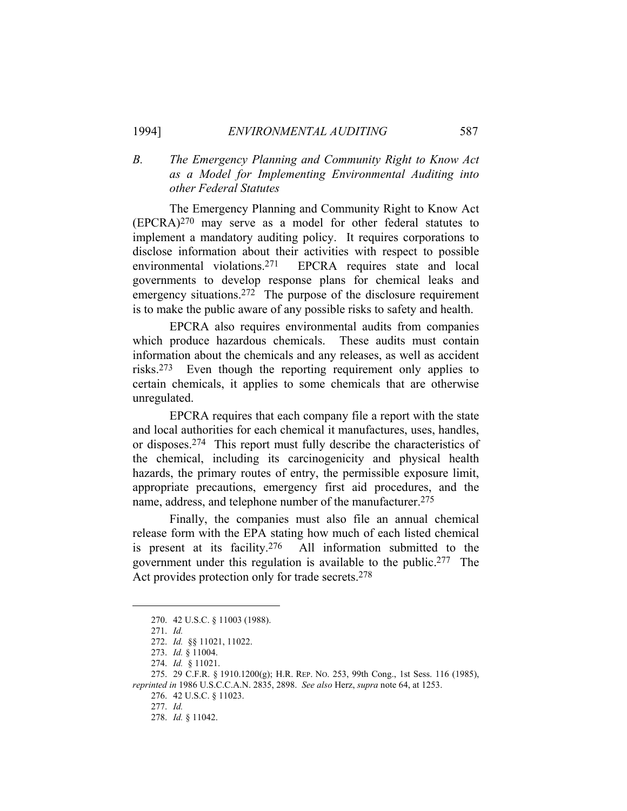### *B. The Emergency Planning and Community Right to Know Act as a Model for Implementing Environmental Auditing into other Federal Statutes*

 The Emergency Planning and Community Right to Know Act (EPCRA)270 may serve as a model for other federal statutes to implement a mandatory auditing policy. It requires corporations to disclose information about their activities with respect to possible environmental violations.271 EPCRA requires state and local governments to develop response plans for chemical leaks and emergency situations.<sup>272</sup> The purpose of the disclosure requirement is to make the public aware of any possible risks to safety and health.

 EPCRA also requires environmental audits from companies which produce hazardous chemicals. These audits must contain information about the chemicals and any releases, as well as accident risks.273 Even though the reporting requirement only applies to certain chemicals, it applies to some chemicals that are otherwise unregulated.

 EPCRA requires that each company file a report with the state and local authorities for each chemical it manufactures, uses, handles, or disposes.274 This report must fully describe the characteristics of the chemical, including its carcinogenicity and physical health hazards, the primary routes of entry, the permissible exposure limit, appropriate precautions, emergency first aid procedures, and the name, address, and telephone number of the manufacturer.275

 Finally, the companies must also file an annual chemical release form with the EPA stating how much of each listed chemical is present at its facility.276 All information submitted to the government under this regulation is available to the public.277 The Act provides protection only for trade secrets.278

 <sup>270. 42</sup> U.S.C. § 11003 (1988).

 <sup>271.</sup> *Id.*

 <sup>272.</sup> *Id.* §§ 11021, 11022.

 <sup>273.</sup> *Id.* § 11004.

 <sup>274.</sup> *Id.* § 11021.

 <sup>275. 29</sup> C.F.R. § 1910.1200(g); H.R. REP. NO. 253, 99th Cong., 1st Sess. 116 (1985), *reprinted in* 1986 U.S.C.C.A.N. 2835, 2898. *See also* Herz, *supra* note 64, at 1253.

 <sup>276. 42</sup> U.S.C. § 11023.

 <sup>277.</sup> *Id.*

 <sup>278.</sup> *Id.* § 11042.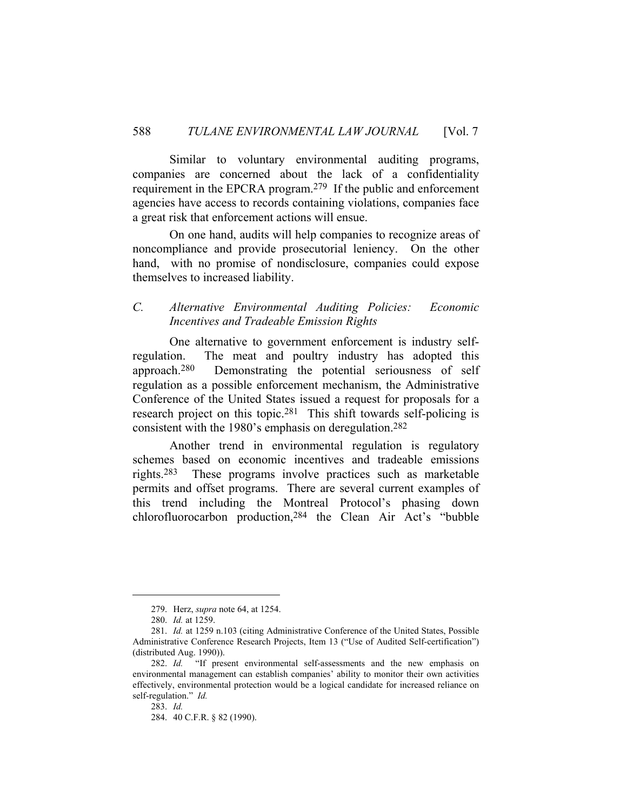Similar to voluntary environmental auditing programs, companies are concerned about the lack of a confidentiality requirement in the EPCRA program.279 If the public and enforcement agencies have access to records containing violations, companies face a great risk that enforcement actions will ensue.

 On one hand, audits will help companies to recognize areas of noncompliance and provide prosecutorial leniency. On the other hand, with no promise of nondisclosure, companies could expose themselves to increased liability.

#### *C. Alternative Environmental Auditing Policies: Economic Incentives and Tradeable Emission Rights*

 One alternative to government enforcement is industry selfregulation. The meat and poultry industry has adopted this approach.280 Demonstrating the potential seriousness of self regulation as a possible enforcement mechanism, the Administrative Conference of the United States issued a request for proposals for a research project on this topic.281 This shift towards self-policing is consistent with the 1980's emphasis on deregulation.282

 Another trend in environmental regulation is regulatory schemes based on economic incentives and tradeable emissions rights.283 These programs involve practices such as marketable permits and offset programs. There are several current examples of this trend including the Montreal Protocol's phasing down chlorofluorocarbon production,284 the Clean Air Act's "bubble

 <sup>279.</sup> Herz, *supra* note 64, at 1254.

 <sup>280.</sup> *Id.* at 1259.

 <sup>281.</sup> *Id.* at 1259 n.103 (citing Administrative Conference of the United States, Possible Administrative Conference Research Projects, Item 13 ("Use of Audited Self-certification") (distributed Aug. 1990)).

 <sup>282.</sup> *Id.* "If present environmental self-assessments and the new emphasis on environmental management can establish companies' ability to monitor their own activities effectively, environmental protection would be a logical candidate for increased reliance on self-regulation." *Id.*

 <sup>283.</sup> *Id.*

 <sup>284. 40</sup> C.F.R. § 82 (1990).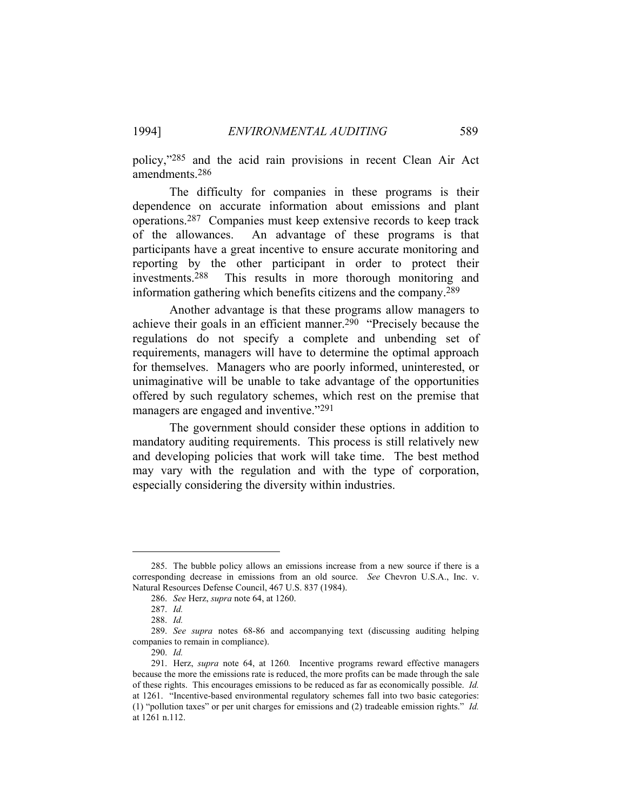policy,"285 and the acid rain provisions in recent Clean Air Act amendments.286

 The difficulty for companies in these programs is their dependence on accurate information about emissions and plant operations.287 Companies must keep extensive records to keep track of the allowances. An advantage of these programs is that participants have a great incentive to ensure accurate monitoring and reporting by the other participant in order to protect their investments.288 This results in more thorough monitoring and information gathering which benefits citizens and the company.289

 Another advantage is that these programs allow managers to achieve their goals in an efficient manner.290 "Precisely because the regulations do not specify a complete and unbending set of requirements, managers will have to determine the optimal approach for themselves. Managers who are poorly informed, uninterested, or unimaginative will be unable to take advantage of the opportunities offered by such regulatory schemes, which rest on the premise that managers are engaged and inventive."<sup>291</sup>

 The government should consider these options in addition to mandatory auditing requirements. This process is still relatively new and developing policies that work will take time. The best method may vary with the regulation and with the type of corporation, especially considering the diversity within industries.

 <sup>285.</sup> The bubble policy allows an emissions increase from a new source if there is a corresponding decrease in emissions from an old source. *See* Chevron U.S.A., Inc. v. Natural Resources Defense Council, 467 U.S. 837 (1984).

 <sup>286.</sup> *See* Herz, *supra* note 64, at 1260.

 <sup>287.</sup> *Id.*

 <sup>288.</sup> *Id.*

 <sup>289.</sup> *See supra* notes 68-86 and accompanying text (discussing auditing helping companies to remain in compliance).

 <sup>290.</sup> *Id.*

 <sup>291.</sup> Herz, *supra* note 64, at 1260*.* Incentive programs reward effective managers because the more the emissions rate is reduced, the more profits can be made through the sale of these rights. This encourages emissions to be reduced as far as economically possible. *Id.* at 1261. "Incentive-based environmental regulatory schemes fall into two basic categories: (1) "pollution taxes" or per unit charges for emissions and (2) tradeable emission rights." *Id.* at 1261 n.112.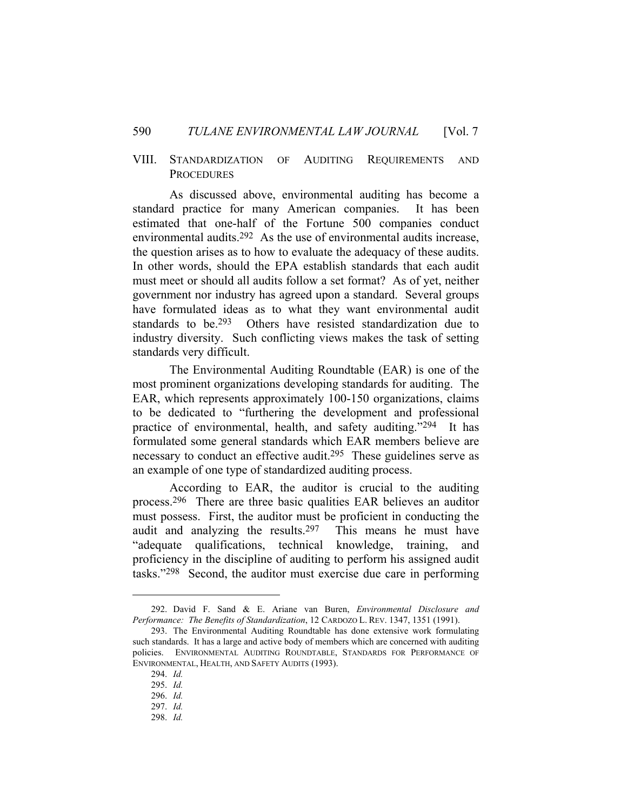#### VIII. STANDARDIZATION OF AUDITING REQUIREMENTS AND **PROCEDURES**

 As discussed above, environmental auditing has become a standard practice for many American companies. It has been estimated that one-half of the Fortune 500 companies conduct environmental audits.292 As the use of environmental audits increase, the question arises as to how to evaluate the adequacy of these audits. In other words, should the EPA establish standards that each audit must meet or should all audits follow a set format? As of yet, neither government nor industry has agreed upon a standard. Several groups have formulated ideas as to what they want environmental audit standards to be.293 Others have resisted standardization due to industry diversity. Such conflicting views makes the task of setting standards very difficult.

 The Environmental Auditing Roundtable (EAR) is one of the most prominent organizations developing standards for auditing. The EAR, which represents approximately 100-150 organizations, claims to be dedicated to "furthering the development and professional practice of environmental, health, and safety auditing."294 It has formulated some general standards which EAR members believe are necessary to conduct an effective audit.<sup>295</sup> These guidelines serve as an example of one type of standardized auditing process.

 According to EAR, the auditor is crucial to the auditing process.296 There are three basic qualities EAR believes an auditor must possess. First, the auditor must be proficient in conducting the audit and analyzing the results.297 This means he must have "adequate qualifications, technical knowledge, training, and proficiency in the discipline of auditing to perform his assigned audit tasks."298 Second, the auditor must exercise due care in performing

 <sup>292.</sup> David F. Sand & E. Ariane van Buren, *Environmental Disclosure and Performance: The Benefits of Standardization*, 12 CARDOZO L. REV. 1347, 1351 (1991).

 <sup>293.</sup> The Environmental Auditing Roundtable has done extensive work formulating such standards. It has a large and active body of members which are concerned with auditing policies. ENVIRONMENTAL AUDITING ROUNDTABLE, STANDARDS FOR PERFORMANCE OF ENVIRONMENTAL, HEALTH, AND SAFETY AUDITS (1993).

 <sup>294.</sup> *Id.*

 <sup>295.</sup> *Id.*

 <sup>296.</sup> *Id.*

 <sup>297.</sup> *Id.* 298. *Id.*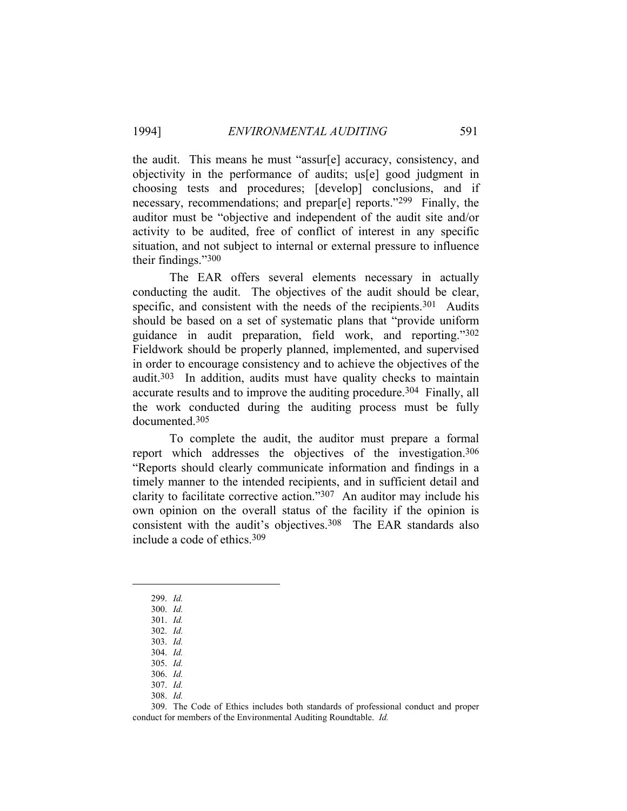the audit. This means he must "assur[e] accuracy, consistency, and objectivity in the performance of audits; us[e] good judgment in choosing tests and procedures; [develop] conclusions, and if necessary, recommendations; and prepar[e] reports."299 Finally, the auditor must be "objective and independent of the audit site and/or activity to be audited, free of conflict of interest in any specific situation, and not subject to internal or external pressure to influence their findings."300

 The EAR offers several elements necessary in actually conducting the audit. The objectives of the audit should be clear, specific, and consistent with the needs of the recipients.<sup>301</sup> Audits should be based on a set of systematic plans that "provide uniform guidance in audit preparation, field work, and reporting."302 Fieldwork should be properly planned, implemented, and supervised in order to encourage consistency and to achieve the objectives of the audit.303 In addition, audits must have quality checks to maintain accurate results and to improve the auditing procedure.304 Finally, all the work conducted during the auditing process must be fully documented.305

 To complete the audit, the auditor must prepare a formal report which addresses the objectives of the investigation.306 "Reports should clearly communicate information and findings in a timely manner to the intended recipients, and in sufficient detail and clarity to facilitate corrective action."307 An auditor may include his own opinion on the overall status of the facility if the opinion is consistent with the audit's objectives.308 The EAR standards also include a code of ethics.309

 <sup>299.</sup> *Id.*

 <sup>300.</sup> *Id.*

 <sup>301.</sup> *Id.* 302. *Id.*

 <sup>303.</sup> *Id.* 304. *Id.*

 <sup>305.</sup> *Id.*

 <sup>306.</sup> *Id.*

 <sup>307.</sup> *Id.*

 <sup>308.</sup> *Id.*

 <sup>309.</sup> The Code of Ethics includes both standards of professional conduct and proper conduct for members of the Environmental Auditing Roundtable. *Id.*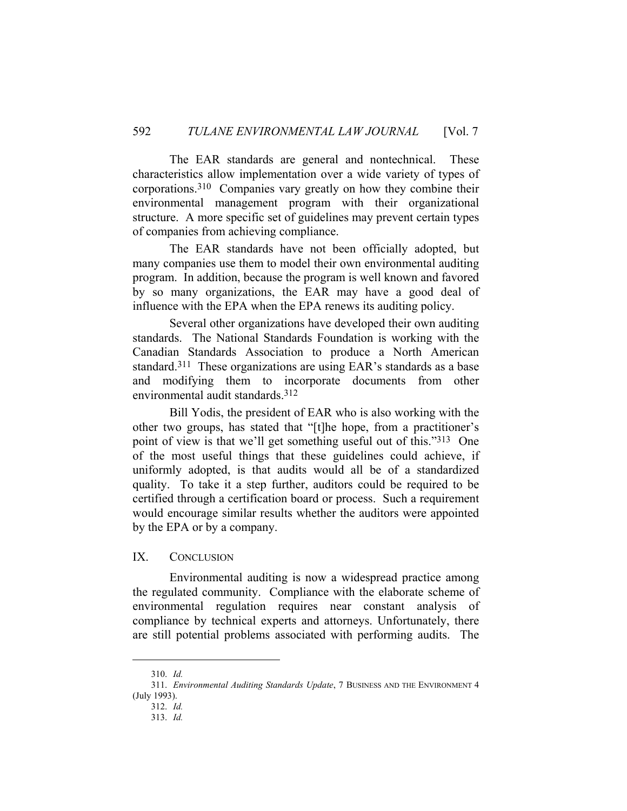The EAR standards are general and nontechnical. These characteristics allow implementation over a wide variety of types of corporations.310 Companies vary greatly on how they combine their environmental management program with their organizational structure. A more specific set of guidelines may prevent certain types of companies from achieving compliance.

 The EAR standards have not been officially adopted, but many companies use them to model their own environmental auditing program. In addition, because the program is well known and favored by so many organizations, the EAR may have a good deal of influence with the EPA when the EPA renews its auditing policy.

 Several other organizations have developed their own auditing standards. The National Standards Foundation is working with the Canadian Standards Association to produce a North American standard.311 These organizations are using EAR's standards as a base and modifying them to incorporate documents from other environmental audit standards.312

 Bill Yodis, the president of EAR who is also working with the other two groups, has stated that "[t]he hope, from a practitioner's point of view is that we'll get something useful out of this."313 One of the most useful things that these guidelines could achieve, if uniformly adopted, is that audits would all be of a standardized quality. To take it a step further, auditors could be required to be certified through a certification board or process. Such a requirement would encourage similar results whether the auditors were appointed by the EPA or by a company.

#### IX. CONCLUSION

 Environmental auditing is now a widespread practice among the regulated community. Compliance with the elaborate scheme of environmental regulation requires near constant analysis of compliance by technical experts and attorneys. Unfortunately, there are still potential problems associated with performing audits. The

 <sup>310.</sup> *Id.*

 <sup>311.</sup> *Environmental Auditing Standards Update*, 7 BUSINESS AND THE ENVIRONMENT 4 (July 1993).

 <sup>312.</sup> *Id.*

 <sup>313.</sup> *Id.*